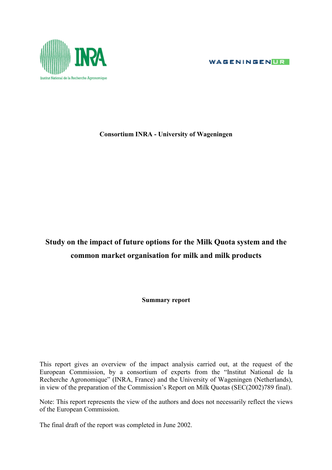WAGENINGENUR



## **Consortium INRA - University of Wageningen**

## **Study on the impact of future options for the Milk Quota system and the common market organisation for milk and milk products**

**Summary report**

This report gives an overview of the impact analysis carried out, at the request of the European Commission, by a consortium of experts from the "Institut National de la Recherche Agronomique" (INRA, France) and the University of Wageningen (Netherlands), in view of the preparation of the Commission's Report on Milk Quotas (SEC(2002)789 final).

Note: This report represents the view of the authors and does not necessarily reflect the views of the European Commission.

The final draft of the report was completed in June 2002.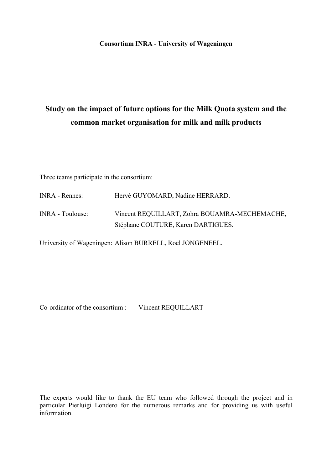**Consortium INRA - University of Wageningen**

# **Study on the impact of future options for the Milk Quota system and the common market organisation for milk and milk products**

Three teams participate in the consortium:

| <b>INRA</b> - Rennes:   | Hervé GUYOMARD, Nadine HERRARD.               |
|-------------------------|-----------------------------------------------|
| <b>INRA</b> - Toulouse: | Vincent REQUILLART, Zohra BOUAMRA-MECHEMACHE, |
|                         | Stéphane COUTURE, Karen DARTIGUES.            |

University of Wageningen: Alison BURRELL, Roël JONGENEEL.

Co-ordinator of the consortium : Vincent REQUILLART

The experts would like to thank the EU team who followed through the project and in particular Pierluigi Londero for the numerous remarks and for providing us with useful information.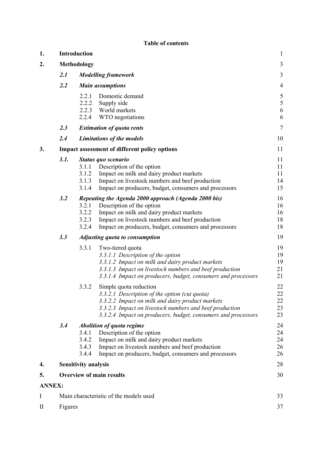| 1.            | Introduction  |                                                                                                                                                                                                                                                                               |                                             |  |  |  |  |
|---------------|---------------|-------------------------------------------------------------------------------------------------------------------------------------------------------------------------------------------------------------------------------------------------------------------------------|---------------------------------------------|--|--|--|--|
| 2.            |               | Methodology                                                                                                                                                                                                                                                                   | $\overline{3}$                              |  |  |  |  |
|               | 2.1           | <b>Modelling framework</b>                                                                                                                                                                                                                                                    | 3                                           |  |  |  |  |
|               | 2.2           | <b>Main assumptions</b>                                                                                                                                                                                                                                                       | $\overline{4}$                              |  |  |  |  |
|               |               | 2.2.1<br>Domestic demand<br>2.2.2<br>Supply side<br>2.2.3 World markets<br>2.2.4<br>WTO negotiations                                                                                                                                                                          | $\sqrt{5}$<br>$\sqrt{5}$<br>$\sqrt{6}$<br>6 |  |  |  |  |
|               | 2.3           | <b>Estimation of quota rents</b>                                                                                                                                                                                                                                              | $\tau$                                      |  |  |  |  |
|               | 2.4           | Limitations of the models                                                                                                                                                                                                                                                     | 10                                          |  |  |  |  |
| 3.            |               | <b>Impact assessment of different policy options</b>                                                                                                                                                                                                                          | 11                                          |  |  |  |  |
|               | 3.1.          | Status quo scenario<br>Description of the option<br>3.1.1<br>3.1.2<br>Impact on milk and dairy product markets<br>3.1.3<br>Impact on livestock numbers and beef production<br>3.1.4<br>Impact on producers, budget, consumers and processors                                  | 11<br>11<br>11<br>14<br>15                  |  |  |  |  |
|               | 3.2           | Repeating the Agenda 2000 approach (Agenda 2000 bis)<br>3.2.1<br>Description of the option<br>3.2.2<br>Impact on milk and dairy product markets<br>Impact on livestock numbers and beef production<br>3.2.3<br>3.2.4<br>Impact on producers, budget, consumers and processors | 16<br>16<br>16<br>18<br>18                  |  |  |  |  |
|               | 3.3           | <b>Adjusting quota to consumption</b>                                                                                                                                                                                                                                         | 19                                          |  |  |  |  |
|               |               | Two-tiered quota<br>3.3.1<br>3.3.1.1 Description of the option<br>3.3.1.2 Impact on milk and dairy product markets<br>3.3.1.3 Impact on livestock numbers and beef production<br>3.3.1.4 Impact on producers, budget, consumers and processors                                | 19<br>19<br>19<br>21<br>21                  |  |  |  |  |
|               |               | Simple quota reduction<br>3.3.2<br>3.3.2.1 Description of the option (cut quota)<br>3.3.2.2 Impact on milk and dairy product markets<br>3.3.2.3 Impact on livestock numbers and beef production<br>3.3.2.4 Impact on producers, budget, consumers and processors              | 22<br>22<br>22<br>23<br>23                  |  |  |  |  |
|               | 3.4           | Abolition of quota regime<br>3.4.1<br>Description of the option<br>3.4.2<br>Impact on milk and dairy product markets<br>3.4.3<br>Impact on livestock numbers and beef production<br>3.4.4<br>Impact on producers, budget, consumers and processors                            | 24<br>24<br>24<br>26<br>26                  |  |  |  |  |
| 4.            |               | <b>Sensitivity analysis</b>                                                                                                                                                                                                                                                   | 28                                          |  |  |  |  |
| 5.            |               | <b>Overview of main results</b>                                                                                                                                                                                                                                               | 30                                          |  |  |  |  |
| <b>ANNEX:</b> |               |                                                                                                                                                                                                                                                                               |                                             |  |  |  |  |
| I             |               | Main characteristic of the models used                                                                                                                                                                                                                                        | 33                                          |  |  |  |  |
| П             | Figures<br>37 |                                                                                                                                                                                                                                                                               |                                             |  |  |  |  |

#### **Table of contents**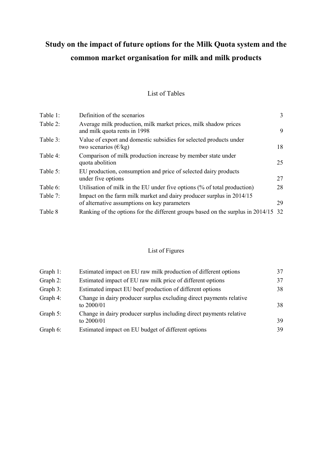# **Study on the impact of future options for the Milk Quota system and the common market organisation for milk and milk products**

## List of Tables

| Table 1: | Definition of the scenarios                                                                                          | 3  |
|----------|----------------------------------------------------------------------------------------------------------------------|----|
| Table 2: | Average milk production, milk market prices, milk shadow prices<br>and milk quota rents in 1998                      | 9  |
| Table 3: | Value of export and domestic subsidies for selected products under<br>two scenarios $(\epsilon/\text{kg})$           | 18 |
| Table 4: | Comparison of milk production increase by member state under<br>quota abolition                                      | 25 |
| Table 5: | EU production, consumption and price of selected dairy products<br>under five options                                | 27 |
| Table 6: | Utilisation of milk in the EU under five options (% of total production)                                             | 28 |
| Table 7: | Impact on the farm milk market and dairy producer surplus in 2014/15<br>of alternative assumptions on key parameters | 29 |
| Table 8  | Ranking of the options for the different groups based on the surplus in 2014/15                                      | 32 |

## List of Figures

| 37 |
|----|
| 38 |
| 38 |
| 39 |
| 39 |
|    |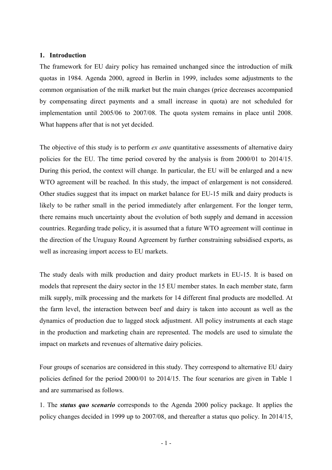#### **1. Introduction**

The framework for EU dairy policy has remained unchanged since the introduction of milk quotas in 1984. Agenda 2000, agreed in Berlin in 1999, includes some adjustments to the common organisation of the milk market but the main changes (price decreases accompanied by compensating direct payments and a small increase in quota) are not scheduled for implementation until 2005/06 to 2007/08. The quota system remains in place until 2008. What happens after that is not yet decided.

The objective of this study is to perform *ex ante* quantitative assessments of alternative dairy policies for the EU. The time period covered by the analysis is from 2000/01 to 2014/15. During this period, the context will change. In particular, the EU will be enlarged and a new WTO agreement will be reached. In this study, the impact of enlargement is not considered. Other studies suggest that its impact on market balance for EU-15 milk and dairy products is likely to be rather small in the period immediately after enlargement. For the longer term, there remains much uncertainty about the evolution of both supply and demand in accession countries. Regarding trade policy, it is assumed that a future WTO agreement will continue in the direction of the Uruguay Round Agreement by further constraining subsidised exports, as well as increasing import access to EU markets.

The study deals with milk production and dairy product markets in EU-15. It is based on models that represent the dairy sector in the 15 EU member states. In each member state, farm milk supply, milk processing and the markets for 14 different final products are modelled. At the farm level, the interaction between beef and dairy is taken into account as well as the dynamics of production due to lagged stock adjustment. All policy instruments at each stage in the production and marketing chain are represented. The models are used to simulate the impact on markets and revenues of alternative dairy policies.

Four groups of scenarios are considered in this study. They correspond to alternative EU dairy policies defined for the period 2000/01 to 2014/15. The four scenarios are given in Table 1 and are summarised as follows.

1. The *status quo scenario* corresponds to the Agenda 2000 policy package. It applies the policy changes decided in 1999 up to 2007/08, and thereafter a status quo policy. In 2014/15,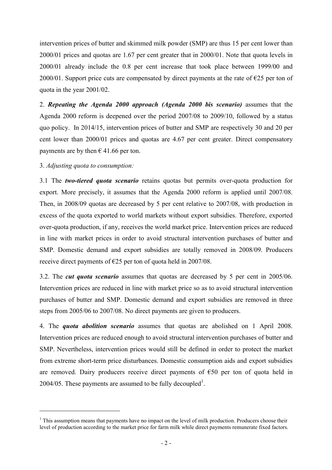intervention prices of butter and skimmed milk powder (SMP) are thus 15 per cent lower than 2000/01 prices and quotas are 1.67 per cent greater that in 2000/01. Note that quota levels in 2000/01 already include the 0.8 per cent increase that took place between 1999/00 and 2000/01. Support price cuts are compensated by direct payments at the rate of  $\epsilon$ 25 per ton of quota in the year 2001/02.

2. *Repeating the Agenda 2000 approach (Agenda 2000 bis scenario)* assumes that the Agenda 2000 reform is deepened over the period 2007/08 to 2009/10, followed by a status quo policy. In 2014/15, intervention prices of butter and SMP are respectively 30 and 20 per cent lower than 2000/01 prices and quotas are 4.67 per cent greater. Direct compensatory payments are by then  $\in$  41.66 per ton.

3. *Adjusting quota to consumption:*

l

3.1 The *two-tiered quota scenario* retains quotas but permits over-quota production for export. More precisely, it assumes that the Agenda 2000 reform is applied until 2007/08. Then, in 2008/09 quotas are decreased by 5 per cent relative to 2007/08, with production in excess of the quota exported to world markets without export subsidies. Therefore, exported over-quota production, if any, receives the world market price. Intervention prices are reduced in line with market prices in order to avoid structural intervention purchases of butter and SMP. Domestic demand and export subsidies are totally removed in 2008/09. Producers receive direct payments of €25 per ton of quota held in 2007/08.

3.2. The *cut quota scenario* assumes that quotas are decreased by 5 per cent in 2005/06. Intervention prices are reduced in line with market price so as to avoid structural intervention purchases of butter and SMP. Domestic demand and export subsidies are removed in three steps from 2005/06 to 2007/08. No direct payments are given to producers.

4. The *quota abolition scenario* assumes that quotas are abolished on 1 April 2008. Intervention prices are reduced enough to avoid structural intervention purchases of butter and SMP. Nevertheless, intervention prices would still be defined in order to protect the market from extreme short-term price disturbances. Domestic consumption aids and export subsidies are removed. Dairy producers receive direct payments of  $\epsilon$ 50 per ton of quota held in 2004/05. These payments are assumed to be fully decoupled<sup>1</sup>.

<sup>&</sup>lt;sup>1</sup> This assumption means that payments have no impact on the level of milk production. Producers choose their level of production according to the market price for farm milk while direct payments remunerate fixed factors.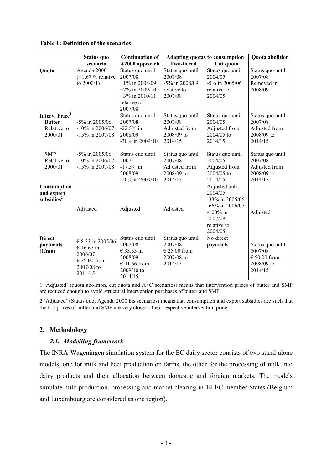|                            | Status quo          | <b>Continuation of</b> |                   | Adapting quotas to consumption | <b>Quota</b> abolition |
|----------------------------|---------------------|------------------------|-------------------|--------------------------------|------------------------|
|                            | scenario            | A2000 approach         | <b>Two-tiered</b> | Cut quota                      |                        |
| Quota                      | Agenda 2000         | Status quo until       | Status quo until  | Status quo until               | Status quo until       |
|                            | $(+1.67 %$ relative | 2007/08                | 2007/08           | 2004/05                        | 2007/08                |
|                            | to $2000/1$ )       | $+1\%$ in 2008/09      | -5% in 2008/09    | -5% in 2005/06                 | Removed in             |
|                            |                     | $+2\%$ in 2009/10      | relative to       | relative to                    | 2008/09                |
|                            |                     | $+3\%$ in 2010/11      | 2007/08           | 2004/05                        |                        |
|                            |                     | relative to            |                   |                                |                        |
|                            |                     | 2007/08                |                   |                                |                        |
| Interv. Price <sup>1</sup> |                     | Status quo until       | Status quo until  | Status quo until               | Status quo until       |
| <b>Butter</b>              | $-5\%$ in 2005/06   | 2007/08                | 2007/08           | 2004/05                        | 2007/08                |
| Relative to                | $-10\%$ in 2006/07  | $-22.5\%$ in           | Adjusted from     | Adjusted from                  | Adjusted from          |
| 2000/01                    | $-15\%$ in 2007/08  | 2008/09                | 2008/09 to        | 2004/05 to                     | 2008/09 to             |
|                            |                     | -30% in 2009/10        | 2014/15           | 2014/15                        | 2014/15                |
|                            |                     |                        |                   |                                |                        |
| <b>SMP</b>                 | $-5\%$ in 2005/06   | Status quo until       | Status quo until  | Status quo until               | Status quo until       |
| Relative to                | $-10\%$ in 2006/07  | 2007                   | 2007/08           | 2004/05                        | 2007/08                |
| 2000/01                    | $-15\%$ in 2007/08  | $-17.5\%$ in           | Adjusted from     | Adjusted from                  | Adjusted from          |
|                            |                     | 2008/09                | 2008/09 to        | $2004/05$ to                   | 2008/09 to             |
|                            |                     | $-20\%$ in 2009/10     | 2014/15           | 2014/15                        | 2014/15                |
| Consumption                |                     |                        |                   | Adjusted until                 |                        |
| and export                 |                     |                        |                   | 2004/05                        |                        |
| subsidies <sup>2</sup>     |                     |                        |                   | -33% in 2005/06                |                        |
|                            | Adjusted            | Adjusted               | Adjusted          | $-66\%$ in 2006/07             |                        |
|                            |                     |                        |                   | $-100\%$ in                    | Adjusted               |
|                            |                     |                        |                   | 2007/08                        |                        |
|                            |                     |                        |                   | relative to                    |                        |
|                            |                     |                        |                   | 2004/05                        |                        |
| <b>Direct</b>              | € 8.33 in 2005/06   | Status quo until       | Status quo until  | No direct                      |                        |
| payments                   | € 16.67 in          | 2007/08                | 2007/08           | payments                       | Status quo until       |
| (E/ton)                    | 2006/07             | € 33.33 in<br>2008/09  | € 25.00 from      |                                | 2007/08                |
|                            | $€ 25.00$ from      |                        | 2007/08 to        |                                | $€ 50.00$ from         |
|                            | 2007/08 to          | € 41.66 from           | 2014/15           |                                | 2008/09 to             |
|                            | 2014/15             | 2009/10 to             |                   |                                | 2014/15                |
|                            |                     | 2014/15                |                   |                                |                        |

1 'Adjusted' (quota abolition, cut quota and A+C scenarios) means that intervention prices of butter and SMP are reduced enough to avoid structural intervention purchases of butter and SMP.

2 'Adjusted' (Status quo, Agenda 2000 bis scenarios) means that consumption and export subsidies are such that the EU prices of butter and SMP are very close to their respective intervention price.

## **2. Methodology**

#### *2.1. Modelling framework*

The INRA-Wageningen simulation system for the EC dairy sector consists of two stand-alone models, one for milk and beef production on farms, the other for the processing of milk into dairy products and their allocation between domestic and foreign markets. The models simulate milk production, processing and market clearing in 14 EC member States (Belgium and Luxembourg are considered as one region).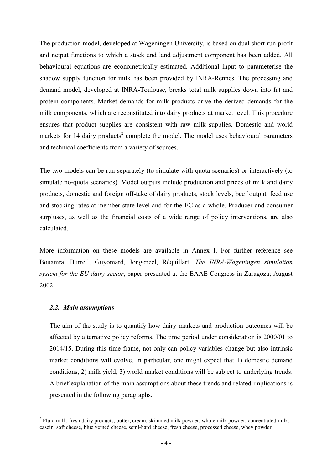The production model, developed at Wageningen University, is based on dual short-run profit and netput functions to which a stock and land adjustment component has been added. All behavioural equations are econometrically estimated. Additional input to parameterise the shadow supply function for milk has been provided by INRA-Rennes. The processing and demand model, developed at INRA-Toulouse, breaks total milk supplies down into fat and protein components. Market demands for milk products drive the derived demands for the milk components, which are reconstituted into dairy products at market level. This procedure ensures that product supplies are consistent with raw milk supplies. Domestic and world markets for 14 dairy products<sup>2</sup> complete the model. The model uses behavioural parameters and technical coefficients from a variety of sources.

The two models can be run separately (to simulate with-quota scenarios) or interactively (to simulate no-quota scenarios). Model outputs include production and prices of milk and dairy products, domestic and foreign off-take of dairy products, stock levels, beef output, feed use and stocking rates at member state level and for the EC as a whole. Producer and consumer surpluses, as well as the financial costs of a wide range of policy interventions, are also calculated.

More information on these models are available in Annex I. For further reference see Bouamra, Burrell, Guyomard, Jongeneel, Réquillart, *The INRA-Wageningen simulation system for the EU dairy sector*, paper presented at the EAAE Congress in Zaragoza; August 2002.

#### *2.2. Main assumptions*

l

The aim of the study is to quantify how dairy markets and production outcomes will be affected by alternative policy reforms. The time period under consideration is 2000/01 to 2014/15. During this time frame, not only can policy variables change but also intrinsic market conditions will evolve. In particular, one might expect that 1) domestic demand conditions, 2) milk yield, 3) world market conditions will be subject to underlying trends. A brief explanation of the main assumptions about these trends and related implications is presented in the following paragraphs.

 $2$  Fluid milk, fresh dairy products, butter, cream, skimmed milk powder, whole milk powder, concentrated milk, casein, soft cheese, blue veined cheese, semi-hard cheese, fresh cheese, processed cheese, whey powder.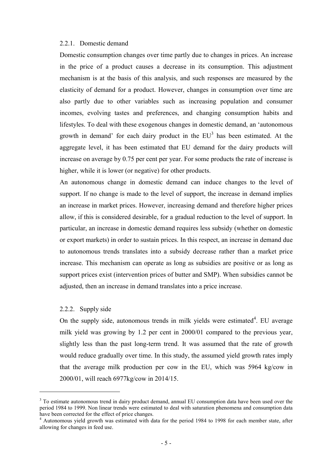#### 2.2.1. Domestic demand

Domestic consumption changes over time partly due to changes in prices. An increase in the price of a product causes a decrease in its consumption. This adjustment mechanism is at the basis of this analysis, and such responses are measured by the elasticity of demand for a product. However, changes in consumption over time are also partly due to other variables such as increasing population and consumer incomes, evolving tastes and preferences, and changing consumption habits and lifestyles. To deal with these exogenous changes in domestic demand, an 'autonomous growth in demand' for each dairy product in the  $EU^3$  has been estimated. At the aggregate level, it has been estimated that EU demand for the dairy products will increase on average by 0.75 per cent per year. For some products the rate of increase is higher, while it is lower (or negative) for other products.

An autonomous change in domestic demand can induce changes to the level of support. If no change is made to the level of support, the increase in demand implies an increase in market prices. However, increasing demand and therefore higher prices allow, if this is considered desirable, for a gradual reduction to the level of support. In particular, an increase in domestic demand requires less subsidy (whether on domestic or export markets) in order to sustain prices. In this respect, an increase in demand due to autonomous trends translates into a subsidy decrease rather than a market price increase. This mechanism can operate as long as subsidies are positive or as long as support prices exist (intervention prices of butter and SMP). When subsidies cannot be adjusted, then an increase in demand translates into a price increase.

#### 2.2.2. Supply side

 $\overline{a}$ 

On the supply side, autonomous trends in milk yields were estimated $4$ . EU average milk yield was growing by 1.2 per cent in 2000/01 compared to the previous year, slightly less than the past long-term trend. It was assumed that the rate of growth would reduce gradually over time. In this study, the assumed yield growth rates imply that the average milk production per cow in the EU, which was 5964 kg/cow in 2000/01, will reach 6977kg/cow in 2014/15.

<sup>&</sup>lt;sup>3</sup> To estimate autonomous trend in dairy product demand, annual EU consumption data have been used over the period 1984 to 1999. Non linear trends were estimated to deal with saturation phenomena and consumption data have been corrected for the effect of price changes.

<sup>&</sup>lt;sup>4</sup> Autonomous yield growth was estimated with data for the period 1984 to 1998 for each member state, after allowing for changes in feed use.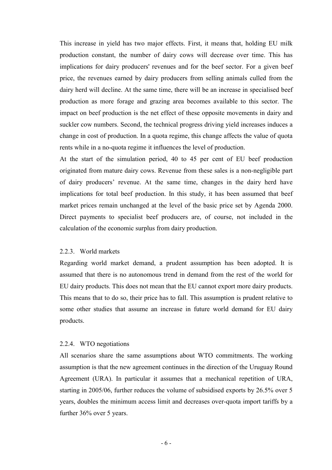This increase in yield has two major effects. First, it means that, holding EU milk production constant, the number of dairy cows will decrease over time. This has implications for dairy producers' revenues and for the beef sector. For a given beef price, the revenues earned by dairy producers from selling animals culled from the dairy herd will decline. At the same time, there will be an increase in specialised beef production as more forage and grazing area becomes available to this sector. The impact on beef production is the net effect of these opposite movements in dairy and suckler cow numbers. Second, the technical progress driving yield increases induces a change in cost of production. In a quota regime, this change affects the value of quota rents while in a no-quota regime it influences the level of production.

At the start of the simulation period, 40 to 45 per cent of EU beef production originated from mature dairy cows. Revenue from these sales is a non-negligible part of dairy producers' revenue. At the same time, changes in the dairy herd have implications for total beef production. In this study, it has been assumed that beef market prices remain unchanged at the level of the basic price set by Agenda 2000. Direct payments to specialist beef producers are, of course, not included in the calculation of the economic surplus from dairy production.

#### 2.2.3. World markets

Regarding world market demand, a prudent assumption has been adopted. It is assumed that there is no autonomous trend in demand from the rest of the world for EU dairy products. This does not mean that the EU cannot export more dairy products. This means that to do so, their price has to fall. This assumption is prudent relative to some other studies that assume an increase in future world demand for EU dairy products.

#### 2.2.4. WTO negotiations

All scenarios share the same assumptions about WTO commitments. The working assumption is that the new agreement continues in the direction of the Uruguay Round Agreement (URA). In particular it assumes that a mechanical repetition of URA, starting in 2005/06, further reduces the volume of subsidised exports by 26.5% over 5 years, doubles the minimum access limit and decreases over-quota import tariffs by a further 36% over 5 years.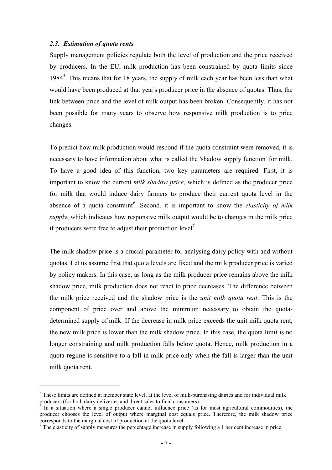#### *2.3. Estimation of quota rents*

 $\overline{a}$ 

Supply management policies regulate both the level of production and the price received by producers. In the EU, milk production has been constrained by quota limits since 1984<sup>5</sup>. This means that for 18 years, the supply of milk each year has been less than what would have been produced at that year's producer price in the absence of quotas. Thus, the link between price and the level of milk output has been broken. Consequently, it has not been possible for many years to observe how responsive milk production is to price changes.

To predict how milk production would respond if the quota constraint were removed, it is necessary to have information about what is called the 'shadow supply function' for milk. To have a good idea of this function, two key parameters are required. First, it is important to know the current *milk shadow price*, which is defined as the producer price for milk that would induce dairy farmers to produce their current quota level in the absence of a quota constraint<sup>6</sup>. Second, it is important to know the *elasticity of milk supply*, which indicates how responsive milk output would be to changes in the milk price if producers were free to adjust their production  $level<sup>7</sup>$ .

The milk shadow price is a crucial parameter for analysing dairy policy with and without quotas. Let us assume first that quota levels are fixed and the milk producer price is varied by policy makers. In this case, as long as the milk producer price remains above the milk shadow price, milk production does not react to price decreases. The difference between the milk price received and the shadow price is the *unit milk quota rent*. This is the component of price over and above the minimum necessary to obtain the quotadetermined supply of milk. If the decrease in milk price exceeds the unit milk quota rent, the new milk price is lower than the milk shadow price. In this case, the quota limit is no longer constraining and milk production falls below quota. Hence, milk production in a quota regime is sensitive to a fall in milk price only when the fall is larger than the unit milk quota rent.

 $<sup>5</sup>$  These limits are defined at member state level, at the level of milk-purchasing dairies and for individual milk</sup> producers (for both dairy deliveries and direct sales to final consumers).

<sup>6</sup> In a situation where a single producer cannot influence price (as for most agricultural commodities), the producer chooses the level of output where marginal cost equals price. Therefore, the milk shadow price corresponds to the marginal cost of production at the quota level.

<sup>&</sup>lt;sup>7</sup> The elasticity of supply measures the percentage increase in supply following a 1 per cent increase in price.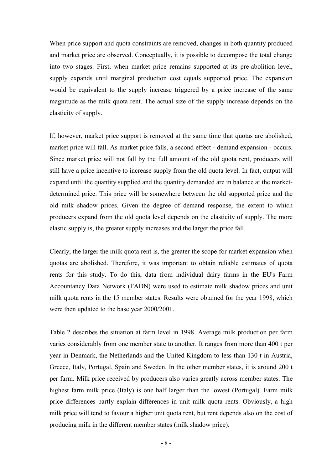When price support and quota constraints are removed, changes in both quantity produced and market price are observed. Conceptually, it is possible to decompose the total change into two stages. First, when market price remains supported at its pre-abolition level, supply expands until marginal production cost equals supported price. The expansion would be equivalent to the supply increase triggered by a price increase of the same magnitude as the milk quota rent. The actual size of the supply increase depends on the elasticity of supply.

If, however, market price support is removed at the same time that quotas are abolished, market price will fall. As market price falls, a second effect - demand expansion - occurs. Since market price will not fall by the full amount of the old quota rent, producers will still have a price incentive to increase supply from the old quota level. In fact, output will expand until the quantity supplied and the quantity demanded are in balance at the marketdetermined price. This price will be somewhere between the old supported price and the old milk shadow prices. Given the degree of demand response, the extent to which producers expand from the old quota level depends on the elasticity of supply. The more elastic supply is, the greater supply increases and the larger the price fall.

Clearly, the larger the milk quota rent is, the greater the scope for market expansion when quotas are abolished. Therefore, it was important to obtain reliable estimates of quota rents for this study. To do this, data from individual dairy farms in the EU's Farm Accountancy Data Network (FADN) were used to estimate milk shadow prices and unit milk quota rents in the 15 member states. Results were obtained for the year 1998, which were then updated to the base year 2000/2001.

Table 2 describes the situation at farm level in 1998. Average milk production per farm varies considerably from one member state to another. It ranges from more than 400 t per year in Denmark, the Netherlands and the United Kingdom to less than 130 t in Austria, Greece, Italy, Portugal, Spain and Sweden. In the other member states, it is around 200 t per farm. Milk price received by producers also varies greatly across member states. The highest farm milk price (Italy) is one half larger than the lowest (Portugal). Farm milk price differences partly explain differences in unit milk quota rents. Obviously, a high milk price will tend to favour a higher unit quota rent, but rent depends also on the cost of producing milk in the different member states (milk shadow price).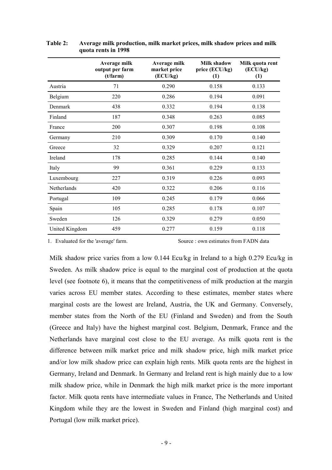|                | Average milk<br>output per farm<br>(t/farm) | Average milk<br>market price<br>(ECU/kg) | Milk shadow<br>price (ECU/kg)<br>(1) | Milk quota rent<br>(ECU/kg)<br>(1) |
|----------------|---------------------------------------------|------------------------------------------|--------------------------------------|------------------------------------|
| Austria        | 71                                          | 0.290                                    | 0.158                                | 0.133                              |
| Belgium        | 220                                         | 0.286                                    | 0.194                                | 0.091                              |
| Denmark        | 438                                         | 0.332                                    | 0.194                                | 0.138                              |
| Finland        | 187                                         | 0.348                                    | 0.263                                | 0.085                              |
| France         | 200                                         | 0.307                                    | 0.198                                | 0.108                              |
| Germany        | 210                                         | 0.309                                    | 0.170                                | 0.140                              |
| Greece         | 32                                          | 0.329                                    | 0.207                                | 0.121                              |
| Ireland        | 178                                         | 0.285                                    | 0.144                                | 0.140                              |
| Italy          | 99                                          | 0.361                                    | 0.229                                | 0.133                              |
| Luxembourg     | 227                                         | 0.319                                    | 0.226                                | 0.093                              |
| Netherlands    | 420                                         | 0.322                                    | 0.206                                | 0.116                              |
| Portugal       | 109                                         | 0.245                                    | 0.179                                | 0.066                              |
| Spain          | 105                                         | 0.285                                    | 0.178                                | 0.107                              |
| Sweden         | 126                                         | 0.329                                    | 0.279                                | 0.050                              |
| United Kingdom | 459                                         | 0.277                                    | 0.159                                | 0.118                              |

 **Table 2: Average milk production, milk market prices, milk shadow prices and milk quota rents in 1998**

1. Evaluated for the 'average' farm. Source : own estimates from FADN data

Milk shadow price varies from a low 0.144 Ecu/kg in Ireland to a high 0.279 Ecu/kg in Sweden. As milk shadow price is equal to the marginal cost of production at the quota level (see footnote 6), it means that the competitiveness of milk production at the margin varies across EU member states. According to these estimates, member states where marginal costs are the lowest are Ireland, Austria, the UK and Germany. Conversely, member states from the North of the EU (Finland and Sweden) and from the South (Greece and Italy) have the highest marginal cost. Belgium, Denmark, France and the Netherlands have marginal cost close to the EU average. As milk quota rent is the difference between milk market price and milk shadow price, high milk market price and/or low milk shadow price can explain high rents. Milk quota rents are the highest in Germany, Ireland and Denmark. In Germany and Ireland rent is high mainly due to a low milk shadow price, while in Denmark the high milk market price is the more important factor. Milk quota rents have intermediate values in France, The Netherlands and United Kingdom while they are the lowest in Sweden and Finland (high marginal cost) and Portugal (low milk market price).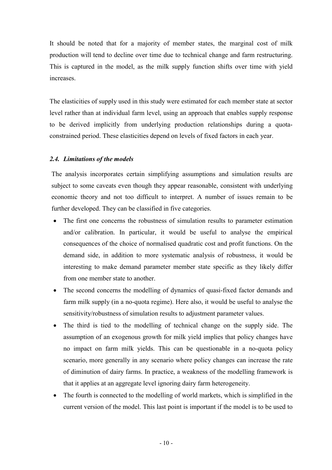It should be noted that for a majority of member states, the marginal cost of milk production will tend to decline over time due to technical change and farm restructuring. This is captured in the model, as the milk supply function shifts over time with yield increases.

The elasticities of supply used in this study were estimated for each member state at sector level rather than at individual farm level, using an approach that enables supply response to be derived implicitly from underlying production relationships during a quotaconstrained period. These elasticities depend on levels of fixed factors in each year.

## *2.4. Limitations of the models*

The analysis incorporates certain simplifying assumptions and simulation results are subject to some caveats even though they appear reasonable, consistent with underlying economic theory and not too difficult to interpret. A number of issues remain to be further developed. They can be classified in five categories.

- The first one concerns the robustness of simulation results to parameter estimation and/or calibration. In particular, it would be useful to analyse the empirical consequences of the choice of normalised quadratic cost and profit functions. On the demand side, in addition to more systematic analysis of robustness, it would be interesting to make demand parameter member state specific as they likely differ from one member state to another.
- The second concerns the modelling of dynamics of quasi-fixed factor demands and farm milk supply (in a no-quota regime). Here also, it would be useful to analyse the sensitivity/robustness of simulation results to adjustment parameter values.
- The third is tied to the modelling of technical change on the supply side. The assumption of an exogenous growth for milk yield implies that policy changes have no impact on farm milk yields. This can be questionable in a no-quota policy scenario, more generally in any scenario where policy changes can increase the rate of diminution of dairy farms. In practice, a weakness of the modelling framework is that it applies at an aggregate level ignoring dairy farm heterogeneity.
- The fourth is connected to the modelling of world markets, which is simplified in the current version of the model. This last point is important if the model is to be used to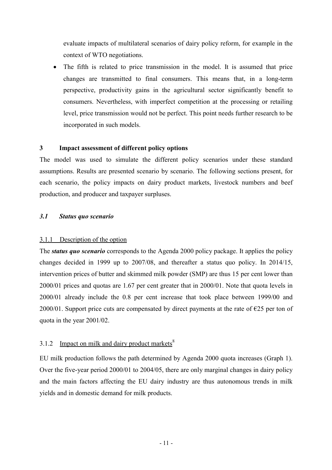evaluate impacts of multilateral scenarios of dairy policy reform, for example in the context of WTO negotiations.

 The fifth is related to price transmission in the model. It is assumed that price changes are transmitted to final consumers. This means that, in a long-term perspective, productivity gains in the agricultural sector significantly benefit to consumers. Nevertheless, with imperfect competition at the processing or retailing level, price transmission would not be perfect. This point needs further research to be incorporated in such models.

## **3 Impact assessment of different policy options**

The model was used to simulate the different policy scenarios under these standard assumptions. Results are presented scenario by scenario. The following sections present, for each scenario, the policy impacts on dairy product markets, livestock numbers and beef production, and producer and taxpayer surpluses.

## *3.1 Status quo scenario*

#### 3.1.1 Description of the option

The *status quo scenario* corresponds to the Agenda 2000 policy package. It applies the policy changes decided in 1999 up to 2007/08, and thereafter a status quo policy. In 2014/15, intervention prices of butter and skimmed milk powder (SMP) are thus 15 per cent lower than 2000/01 prices and quotas are 1.67 per cent greater that in 2000/01. Note that quota levels in 2000/01 already include the 0.8 per cent increase that took place between 1999/00 and 2000/01. Support price cuts are compensated by direct payments at the rate of  $\epsilon$ 25 per ton of quota in the year 2001/02.

## 3.1.2 Impact on milk and dairy product markets $8<sup>8</sup>$

EU milk production follows the path determined by Agenda 2000 quota increases (Graph 1). Over the five-year period 2000/01 to 2004/05, there are only marginal changes in dairy policy and the main factors affecting the EU dairy industry are thus autonomous trends in milk yields and in domestic demand for milk products.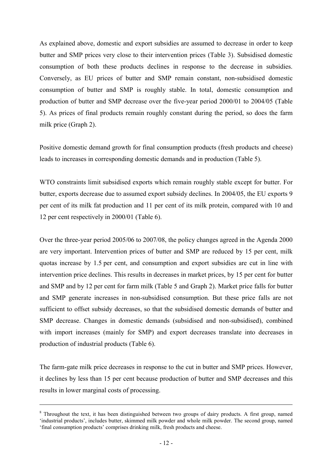As explained above, domestic and export subsidies are assumed to decrease in order to keep butter and SMP prices very close to their intervention prices (Table 3). Subsidised domestic consumption of both these products declines in response to the decrease in subsidies. Conversely, as EU prices of butter and SMP remain constant, non-subsidised domestic consumption of butter and SMP is roughly stable. In total, domestic consumption and production of butter and SMP decrease over the five-year period 2000/01 to 2004/05 (Table 5). As prices of final products remain roughly constant during the period, so does the farm milk price (Graph 2).

Positive domestic demand growth for final consumption products (fresh products and cheese) leads to increases in corresponding domestic demands and in production (Table 5).

WTO constraints limit subsidised exports which remain roughly stable except for butter. For butter, exports decrease due to assumed export subsidy declines. In 2004/05, the EU exports 9 per cent of its milk fat production and 11 per cent of its milk protein, compared with 10 and 12 per cent respectively in 2000/01 (Table 6).

Over the three-year period 2005/06 to 2007/08, the policy changes agreed in the Agenda 2000 are very important. Intervention prices of butter and SMP are reduced by 15 per cent, milk quotas increase by 1.5 per cent, and consumption and export subsidies are cut in line with intervention price declines. This results in decreases in market prices, by 15 per cent for butter and SMP and by 12 per cent for farm milk (Table 5 and Graph 2). Market price falls for butter and SMP generate increases in non-subsidised consumption. But these price falls are not sufficient to offset subsidy decreases, so that the subsidised domestic demands of butter and SMP decrease. Changes in domestic demands (subsidised and non-subsidised), combined with import increases (mainly for SMP) and export decreases translate into decreases in production of industrial products (Table 6).

The farm-gate milk price decreases in response to the cut in butter and SMP prices. However, it declines by less than 15 per cent because production of butter and SMP decreases and this results in lower marginal costs of processing.

 $\overline{a}$ 

<sup>&</sup>lt;sup>8</sup> Throughout the text, it has been distinguished between two groups of dairy products. A first group, named 'industrial products', includes butter, skimmed milk powder and whole milk powder. The second group, named 'final consumption products' comprises drinking milk, fresh products and cheese.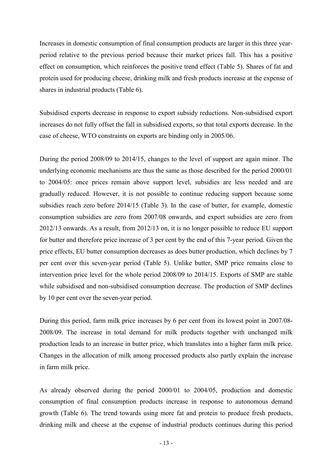Increases in domestic consumption of final consumption products are larger in this three yearperiod relative to the previous period because their market prices fall. This has a positive effect on consumption, which reinforces the positive trend effect (Table 5). Shares of fat and protein used for producing cheese, drinking milk and fresh products increase at the expense of shares in industrial products (Table 6).

Subsidised exports decrease in response to export subsidy reductions. Non-subsidised export increases do not fully offset the fall in subsidised exports, so that total exports decrease. In the case of cheese, WTO constraints on exports are binding only in 2005/06.

During the period 2008/09 to 2014/15, changes to the level of support are again minor. The underlying economic mechanisms are thus the same as those described for the period 2000/01 to 2004/05: once prices remain above support level, subsidies are less needed and are gradually reduced. However, it is not possible to continue reducing support because some subsidies reach zero before 2014/15 (Table 3). In the case of butter, for example, domestic consumption subsidies are zero from 2007/08 onwards, and export subsidies are zero from 2012/13 onwards. As a result, from 2012/13 on, it is no longer possible to reduce EU support for butter and therefore price increase of 3 per cent by the end of this 7-year period. Given the price effects, EU butter consumption decreases as does butter production, which declines by 7 per cent over this seven-year period (Table 5). Unlike butter, SMP price remains close to intervention price level for the whole period 2008/09 to 2014/15. Exports of SMP are stable while subsidised and non-subsidised consumption decrease. The production of SMP declines by 10 per cent over the seven-year period.

During this period, farm milk price increases by 6 per cent from its lowest point in 2007/08- 2008/09. The increase in total demand for milk products together with unchanged milk production leads to an increase in butter price, which translates into a higher farm milk price. Changes in the allocation of milk among processed products also partly explain the increase in farm milk price.

As already observed during the period 2000/01 to 2004/05, production and domestic consumption of final consumption products increase in response to autonomous demand growth (Table 6). The trend towards using more fat and protein to produce fresh products, drinking milk and cheese at the expense of industrial products continues during this period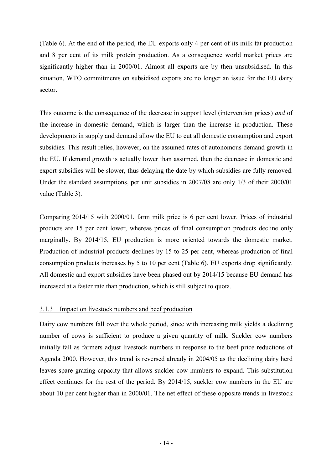(Table 6). At the end of the period, the EU exports only 4 per cent of its milk fat production and 8 per cent of its milk protein production. As a consequence world market prices are significantly higher than in 2000/01. Almost all exports are by then unsubsidised. In this situation, WTO commitments on subsidised exports are no longer an issue for the EU dairy sector.

This outcome is the consequence of the decrease in support level (intervention prices) *and* of the increase in domestic demand, which is larger than the increase in production. These developments in supply and demand allow the EU to cut all domestic consumption and export subsidies. This result relies, however, on the assumed rates of autonomous demand growth in the EU. If demand growth is actually lower than assumed, then the decrease in domestic and export subsidies will be slower, thus delaying the date by which subsidies are fully removed. Under the standard assumptions, per unit subsidies in 2007/08 are only 1/3 of their 2000/01 value (Table 3).

Comparing 2014/15 with 2000/01, farm milk price is 6 per cent lower. Prices of industrial products are 15 per cent lower, whereas prices of final consumption products decline only marginally. By 2014/15, EU production is more oriented towards the domestic market. Production of industrial products declines by 15 to 25 per cent, whereas production of final consumption products increases by 5 to 10 per cent (Table 6). EU exports drop significantly. All domestic and export subsidies have been phased out by 2014/15 because EU demand has increased at a faster rate than production, which is still subject to quota.

## 3.1.3 Impact on livestock numbers and beef production

Dairy cow numbers fall over the whole period, since with increasing milk yields a declining number of cows is sufficient to produce a given quantity of milk. Suckler cow numbers initially fall as farmers adjust livestock numbers in response to the beef price reductions of Agenda 2000. However, this trend is reversed already in 2004/05 as the declining dairy herd leaves spare grazing capacity that allows suckler cow numbers to expand. This substitution effect continues for the rest of the period. By 2014/15, suckler cow numbers in the EU are about 10 per cent higher than in 2000/01. The net effect of these opposite trends in livestock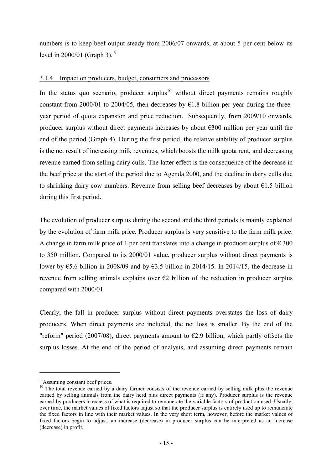numbers is to keep beef output steady from 2006/07 onwards, at about 5 per cent below its level in 2000/01 (Graph 3).  $9$ 

## 3.1.4 Impact on producers, budget, consumers and processors

In the status quo scenario, producer surplus<sup>10</sup> without direct payments remains roughly constant from 2000/01 to 2004/05, then decreases by  $\epsilon$ 1.8 billion per year during the threeyear period of quota expansion and price reduction. Subsequently, from 2009/10 onwards, producer surplus without direct payments increases by about €300 million per year until the end of the period (Graph 4). During the first period, the relative stability of producer surplus is the net result of increasing milk revenues, which boosts the milk quota rent, and decreasing revenue earned from selling dairy culls. The latter effect is the consequence of the decrease in the beef price at the start of the period due to Agenda 2000, and the decline in dairy culls due to shrinking dairy cow numbers. Revenue from selling beef decreases by about  $\epsilon$ 1.5 billion during this first period.

The evolution of producer surplus during the second and the third periods is mainly explained by the evolution of farm milk price. Producer surplus is very sensitive to the farm milk price. A change in farm milk price of 1 per cent translates into a change in producer surplus of  $\epsilon$  300 to 350 million. Compared to its 2000/01 value, producer surplus without direct payments is lower by  $\epsilon$ 5.6 billion in 2008/09 and by  $\epsilon$ 3.5 billion in 2014/15. In 2014/15, the decrease in revenue from selling animals explains over  $\epsilon$ 2 billion of the reduction in producer surplus compared with 2000/01.

Clearly, the fall in producer surplus without direct payments overstates the loss of dairy producers. When direct payments are included, the net loss is smaller. By the end of the "reform" period (2007/08), direct payments amount to  $\epsilon$ 2.9 billion, which partly offsets the surplus losses. At the end of the period of analysis, and assuming direct payments remain

l

<sup>&</sup>lt;sup>9</sup> Assuming constant beef prices.

<sup>&</sup>lt;sup>10</sup> The total revenue earned by a dairy farmer consists of the revenue earned by selling milk plus the revenue earned by selling animals from the dairy herd plus direct payments (if any). Producer surplus is the revenue earned by producers in excess of what is required to remunerate the variable factors of production used. Usually, over time, the market values of fixed factors adjust so that the producer surplus is entirely used up to remunerate the fixed factors in line with their market values. In the very short term, however, before the market values of fixed factors begin to adjust, an increase (decrease) in producer surplus can be interpreted as an increase (decrease) in profit.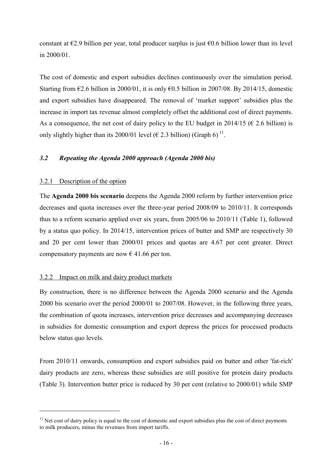constant at  $\epsilon$ 2.9 billion per year, total producer surplus is just  $\epsilon$ 0.6 billion lower than its level in 2000/01.

The cost of domestic and export subsidies declines continuously over the simulation period. Starting from  $\epsilon$ 2.6 billion in 2000/01, it is only  $\epsilon$ 0.5 billion in 2007/08. By 2014/15, domestic and export subsidies have disappeared. The removal of 'market support' subsidies plus the increase in import tax revenue almost completely offset the additional cost of direct payments. As a consequence, the net cost of dairy policy to the EU budget in 2014/15 ( $\epsilon$  2.6 billion) is only slightly higher than its 2000/01 level ( $\epsilon$  2.3 billion) (Graph 6)<sup>11</sup>.

## *3.2 Repeating the Agenda 2000 approach (Agenda 2000 bis)*

## 3.2.1 Description of the option

l

The **Agenda 2000 bis scenario** deepens the Agenda 2000 reform by further intervention price decreases and quota increases over the three-year period 2008/09 to 2010/11. It corresponds thus to a reform scenario applied over six years, from 2005/06 to 2010/11 (Table 1), followed by a status quo policy. In 2014/15, intervention prices of butter and SMP are respectively 30 and 20 per cent lower than 2000/01 prices and quotas are 4.67 per cent greater. Direct compensatory payments are now  $\epsilon$  41.66 per ton.

## 3.2.2 Impact on milk and dairy product markets

By construction, there is no difference between the Agenda 2000 scenario and the Agenda 2000 bis scenario over the period 2000/01 to 2007/08. However, in the following three years, the combination of quota increases, intervention price decreases and accompanying decreases in subsidies for domestic consumption and export depress the prices for processed products below status quo levels.

From 2010/11 onwards, consumption and export subsidies paid on butter and other 'fat-rich' dairy products are zero, whereas these subsidies are still positive for protein dairy products (Table 3). Intervention butter price is reduced by 30 per cent (relative to 2000/01) while SMP

 $11$  Net cost of dairy policy is equal to the cost of domestic and export subsidies plus the cost of direct payments to milk producers, minus the revenues from import tariffs.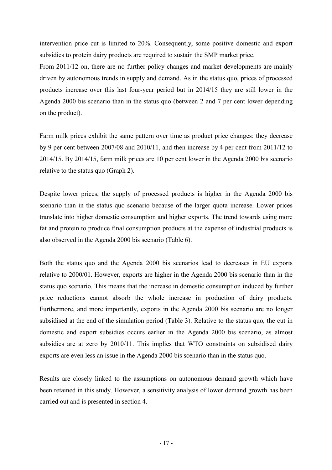intervention price cut is limited to 20%. Consequently, some positive domestic and export subsidies to protein dairy products are required to sustain the SMP market price.

From 2011/12 on, there are no further policy changes and market developments are mainly driven by autonomous trends in supply and demand. As in the status quo, prices of processed products increase over this last four-year period but in 2014/15 they are still lower in the Agenda 2000 bis scenario than in the status quo (between 2 and 7 per cent lower depending on the product).

Farm milk prices exhibit the same pattern over time as product price changes: they decrease by 9 per cent between 2007/08 and 2010/11, and then increase by 4 per cent from 2011/12 to 2014/15. By 2014/15, farm milk prices are 10 per cent lower in the Agenda 2000 bis scenario relative to the status quo (Graph 2).

Despite lower prices, the supply of processed products is higher in the Agenda 2000 bis scenario than in the status quo scenario because of the larger quota increase. Lower prices translate into higher domestic consumption and higher exports. The trend towards using more fat and protein to produce final consumption products at the expense of industrial products is also observed in the Agenda 2000 bis scenario (Table 6).

Both the status quo and the Agenda 2000 bis scenarios lead to decreases in EU exports relative to 2000/01. However, exports are higher in the Agenda 2000 bis scenario than in the status quo scenario. This means that the increase in domestic consumption induced by further price reductions cannot absorb the whole increase in production of dairy products. Furthermore, and more importantly, exports in the Agenda 2000 bis scenario are no longer subsidised at the end of the simulation period (Table 3). Relative to the status quo, the cut in domestic and export subsidies occurs earlier in the Agenda 2000 bis scenario, as almost subsidies are at zero by 2010/11. This implies that WTO constraints on subsidised dairy exports are even less an issue in the Agenda 2000 bis scenario than in the status quo.

Results are closely linked to the assumptions on autonomous demand growth which have been retained in this study. However, a sensitivity analysis of lower demand growth has been carried out and is presented in section 4.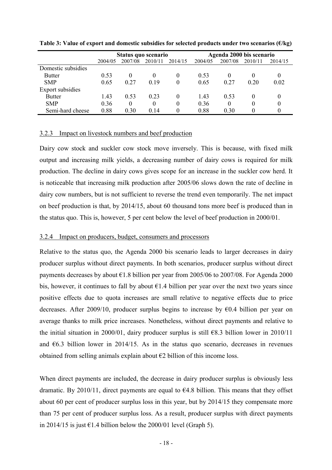|                    |         | Status quo scenario |          |          | Agenda 2000 bis scenario |          |         |              |
|--------------------|---------|---------------------|----------|----------|--------------------------|----------|---------|--------------|
|                    | 2004/05 | 2007/08             | 2010/11  | 2014/15  | 2004/05                  | 2007/08  | 2010/11 | 2014/15      |
| Domestic subsidies |         |                     |          |          |                          |          |         |              |
| <b>Butter</b>      | 0.53    | $\theta$            | $\theta$ | $\theta$ | 0.53                     | $\Omega$ |         | 0            |
| <b>SMP</b>         | 0.65    | 0.27                | 0.19     | 0        | 0.65                     | 0.27     | 0.20    | 0.02         |
| Export subsidies   |         |                     |          |          |                          |          |         |              |
| <b>Butter</b>      | 1.43    | 0.53                | 0.23     | $\theta$ | 1.43                     | 0.53     |         | 0            |
| <b>SMP</b>         | 0.36    | $\theta$            | $\theta$ | $\theta$ | 0.36                     | $\theta$ |         | $\theta$     |
| Semi-hard cheese   | 0.88    | 0.30                | 0.14     |          | 0.88                     | 0.30     |         | $\mathbf{0}$ |

**Table 3: Value of export and domestic subsidies for selected products under two scenarios (€/kg)**

## 3.2.3 Impact on livestock numbers and beef production

Dairy cow stock and suckler cow stock move inversely. This is because, with fixed milk output and increasing milk yields, a decreasing number of dairy cows is required for milk production. The decline in dairy cows gives scope for an increase in the suckler cow herd. It is noticeable that increasing milk production after 2005/06 slows down the rate of decline in dairy cow numbers, but is not sufficient to reverse the trend even temporarily. The net impact on beef production is that, by 2014/15, about 60 thousand tons more beef is produced than in the status quo. This is, however, 5 per cent below the level of beef production in 2000/01.

#### 3.2.4 Impact on producers, budget, consumers and processors

Relative to the status quo, the Agenda 2000 bis scenario leads to larger decreases in dairy producer surplus without direct payments. In both scenarios, producer surplus without direct payments decreases by about  $\epsilon$ 1.8 billion per year from 2005/06 to 2007/08. For Agenda 2000 bis, however, it continues to fall by about  $\epsilon$ 1.4 billion per year over the next two years since positive effects due to quota increases are small relative to negative effects due to price decreases. After 2009/10, producer surplus begins to increase by  $\epsilon$ 0.4 billion per year on average thanks to milk price increases. Nonetheless, without direct payments and relative to the initial situation in 2000/01, dairy producer surplus is still  $\epsilon$ 8.3 billion lower in 2010/11 and  $6.3$  billion lower in 2014/15. As in the status quo scenario, decreases in revenues obtained from selling animals explain about  $\epsilon$ 2 billion of this income loss.

When direct payments are included, the decrease in dairy producer surplus is obviously less dramatic. By 2010/11, direct payments are equal to  $64.8$  billion. This means that they offset about 60 per cent of producer surplus loss in this year, but by 2014/15 they compensate more than 75 per cent of producer surplus loss. As a result, producer surplus with direct payments in 2014/15 is just  $\epsilon$ 1.4 billion below the 2000/01 level (Graph 5).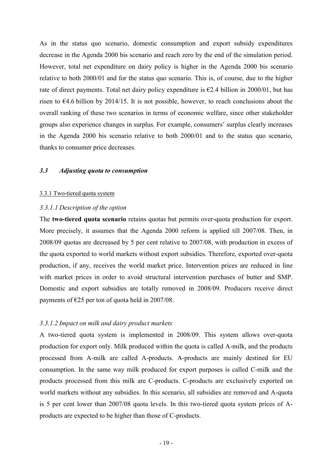As in the status quo scenario, domestic consumption and export subsidy expenditures decrease in the Agenda 2000 bis scenario and reach zero by the end of the simulation period. However, total net expenditure on dairy policy is higher in the Agenda 2000 bis scenario relative to both 2000/01 and for the status quo scenario. This is, of course, due to the higher rate of direct payments. Total net dairy policy expenditure is  $\epsilon$ 2.4 billion in 2000/01, but has risen to €4.6 billion by 2014/15. It is not possible, however, to reach conclusions about the overall ranking of these two scenarios in terms of economic welfare, since other stakeholder groups also experience changes in surplus. For example, consumers' surplus clearly increases in the Agenda 2000 bis scenario relative to both 2000/01 and to the status quo scenario, thanks to consumer price decreases.

#### *3.3 Adjusting quota to consumption*

#### 3.3.1 Two-tiered quota system

## *3.3.1.1 Description of the option*

The **two-tiered quota scenario** retains quotas but permits over-quota production for export. More precisely, it assumes that the Agenda 2000 reform is applied till 2007/08. Then, in 2008/09 quotas are decreased by 5 per cent relative to 2007/08, with production in excess of the quota exported to world markets without export subsidies. Therefore, exported over-quota production, if any, receives the world market price. Intervention prices are reduced in line with market prices in order to avoid structural intervention purchases of butter and SMP. Domestic and export subsidies are totally removed in 2008/09. Producers receive direct payments of  $E25$  per ton of quota held in 2007/08.

## *3.3.1.2 Impact on milk and dairy product markets*

A two-tiered quota system is implemented in 2008/09. This system allows over-quota production for export only. Milk produced within the quota is called A-milk, and the products processed from A-milk are called A-products. A-products are mainly destined for EU consumption. In the same way milk produced for export purposes is called C-milk and the products processed from this milk are C-products. C-products are exclusively exported on world markets without any subsidies. In this scenario, all subsidies are removed and A-quota is 5 per cent lower than 2007/08 quota levels. In this two-tiered quota system prices of Aproducts are expected to be higher than those of C-products.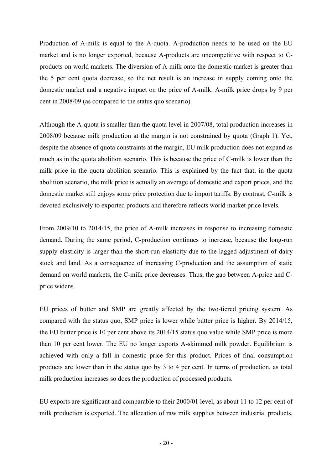Production of A-milk is equal to the A-quota. A-production needs to be used on the EU market and is no longer exported, because A-products are uncompetitive with respect to Cproducts on world markets. The diversion of A-milk onto the domestic market is greater than the 5 per cent quota decrease, so the net result is an increase in supply coming onto the domestic market and a negative impact on the price of A-milk. A-milk price drops by 9 per cent in 2008/09 (as compared to the status quo scenario).

Although the A-quota is smaller than the quota level in 2007/08, total production increases in 2008/09 because milk production at the margin is not constrained by quota (Graph 1). Yet, despite the absence of quota constraints at the margin, EU milk production does not expand as much as in the quota abolition scenario. This is because the price of C-milk is lower than the milk price in the quota abolition scenario. This is explained by the fact that, in the quota abolition scenario, the milk price is actually an average of domestic and export prices, and the domestic market still enjoys some price protection due to import tariffs. By contrast, C-milk is devoted exclusively to exported products and therefore reflects world market price levels.

From 2009/10 to 2014/15, the price of A-milk increases in response to increasing domestic demand. During the same period, C-production continues to increase, because the long-run supply elasticity is larger than the short-run elasticity due to the lagged adjustment of dairy stock and land. As a consequence of increasing C-production and the assumption of static demand on world markets, the C-milk price decreases. Thus, the gap between A-price and Cprice widens.

EU prices of butter and SMP are greatly affected by the two-tiered pricing system. As compared with the status quo, SMP price is lower while butter price is higher. By 2014/15, the EU butter price is 10 per cent above its 2014/15 status quo value while SMP price is more than 10 per cent lower. The EU no longer exports A-skimmed milk powder. Equilibrium is achieved with only a fall in domestic price for this product. Prices of final consumption products are lower than in the status quo by 3 to 4 per cent. In terms of production, as total milk production increases so does the production of processed products.

EU exports are significant and comparable to their 2000/01 level, as about 11 to 12 per cent of milk production is exported. The allocation of raw milk supplies between industrial products,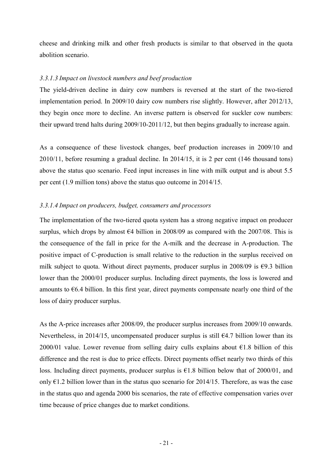cheese and drinking milk and other fresh products is similar to that observed in the quota abolition scenario.

## *3.3.1.3 Impact on livestock numbers and beef production*

The yield-driven decline in dairy cow numbers is reversed at the start of the two-tiered implementation period. In 2009/10 dairy cow numbers rise slightly. However, after 2012/13, they begin once more to decline. An inverse pattern is observed for suckler cow numbers: their upward trend halts during 2009/10-2011/12, but then begins gradually to increase again.

As a consequence of these livestock changes, beef production increases in 2009/10 and 2010/11, before resuming a gradual decline. In 2014/15, it is 2 per cent (146 thousand tons) above the status quo scenario. Feed input increases in line with milk output and is about 5.5 per cent (1.9 million tons) above the status quo outcome in 2014/15.

## *3.3.1.4 Impact on producers, budget, consumers and processors*

The implementation of the two-tiered quota system has a strong negative impact on producer surplus, which drops by almost  $64$  billion in 2008/09 as compared with the 2007/08. This is the consequence of the fall in price for the A-milk and the decrease in A-production. The positive impact of C-production is small relative to the reduction in the surplus received on milk subject to quota. Without direct payments, producer surplus in 2008/09 is  $\epsilon$ 9.3 billion lower than the 2000/01 producer surplus. Including direct payments, the loss is lowered and amounts to  $66.4$  billion. In this first year, direct payments compensate nearly one third of the loss of dairy producer surplus.

As the A-price increases after 2008/09, the producer surplus increases from 2009/10 onwards. Nevertheless, in 2014/15, uncompensated producer surplus is still  $64.7$  billion lower than its 2000/01 value. Lower revenue from selling dairy culls explains about  $\epsilon$ 1.8 billion of this difference and the rest is due to price effects. Direct payments offset nearly two thirds of this loss. Including direct payments, producer surplus is  $\epsilon$ 1.8 billion below that of 2000/01, and only  $\epsilon$ 1.2 billion lower than in the status quo scenario for 2014/15. Therefore, as was the case in the status quo and agenda 2000 bis scenarios, the rate of effective compensation varies over time because of price changes due to market conditions.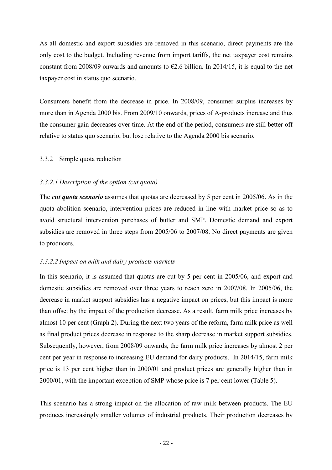As all domestic and export subsidies are removed in this scenario, direct payments are the only cost to the budget. Including revenue from import tariffs, the net taxpayer cost remains constant from 2008/09 onwards and amounts to  $\epsilon$ 2.6 billion. In 2014/15, it is equal to the net taxpayer cost in status quo scenario.

Consumers benefit from the decrease in price. In 2008/09, consumer surplus increases by more than in Agenda 2000 bis. From 2009/10 onwards, prices of A-products increase and thus the consumer gain decreases over time. At the end of the period, consumers are still better off relative to status quo scenario, but lose relative to the Agenda 2000 bis scenario.

## 3.3.2 Simple quota reduction

## *3.3.2.1 Description of the option (cut quota)*

The *cut quota scenario* assumes that quotas are decreased by 5 per cent in 2005/06. As in the quota abolition scenario, intervention prices are reduced in line with market price so as to avoid structural intervention purchases of butter and SMP. Domestic demand and export subsidies are removed in three steps from 2005/06 to 2007/08. No direct payments are given to producers.

## *3.3.2.2 Impact on milk and dairy products markets*

In this scenario, it is assumed that quotas are cut by 5 per cent in 2005/06, and export and domestic subsidies are removed over three years to reach zero in 2007/08. In 2005/06, the decrease in market support subsidies has a negative impact on prices, but this impact is more than offset by the impact of the production decrease. As a result, farm milk price increases by almost 10 per cent (Graph 2). During the next two years of the reform, farm milk price as well as final product prices decrease in response to the sharp decrease in market support subsidies. Subsequently, however, from 2008/09 onwards, the farm milk price increases by almost 2 per cent per year in response to increasing EU demand for dairy products. In 2014/15, farm milk price is 13 per cent higher than in 2000/01 and product prices are generally higher than in 2000/01, with the important exception of SMP whose price is 7 per cent lower (Table 5).

This scenario has a strong impact on the allocation of raw milk between products. The EU produces increasingly smaller volumes of industrial products. Their production decreases by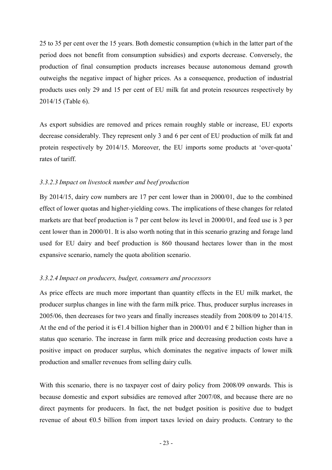25 to 35 per cent over the 15 years. Both domestic consumption (which in the latter part of the period does not benefit from consumption subsidies) and exports decrease. Conversely, the production of final consumption products increases because autonomous demand growth outweighs the negative impact of higher prices. As a consequence, production of industrial products uses only 29 and 15 per cent of EU milk fat and protein resources respectively by 2014/15 (Table 6).

As export subsidies are removed and prices remain roughly stable or increase, EU exports decrease considerably. They represent only 3 and 6 per cent of EU production of milk fat and protein respectively by 2014/15. Moreover, the EU imports some products at 'over-quota' rates of tariff.

## *3.3.2.3 Impact on livestock number and beef production*

By 2014/15, dairy cow numbers are 17 per cent lower than in 2000/01, due to the combined effect of lower quotas and higher-yielding cows. The implications of these changes for related markets are that beef production is 7 per cent below its level in 2000/01, and feed use is 3 per cent lower than in 2000/01. It is also worth noting that in this scenario grazing and forage land used for EU dairy and beef production is 860 thousand hectares lower than in the most expansive scenario, namely the quota abolition scenario.

## *3.3.2.4 Impact on producers, budget, consumers and processors*

As price effects are much more important than quantity effects in the EU milk market, the producer surplus changes in line with the farm milk price. Thus, producer surplus increases in 2005/06, then decreases for two years and finally increases steadily from 2008/09 to 2014/15. At the end of the period it is  $\epsilon$ 1.4 billion higher than in 2000/01 and  $\epsilon$  2 billion higher than in status quo scenario. The increase in farm milk price and decreasing production costs have a positive impact on producer surplus, which dominates the negative impacts of lower milk production and smaller revenues from selling dairy culls*.*

With this scenario, there is no taxpayer cost of dairy policy from 2008/09 onwards. This is because domestic and export subsidies are removed after 2007/08, and because there are no direct payments for producers. In fact, the net budget position is positive due to budget revenue of about  $\epsilon$ 0.5 billion from import taxes levied on dairy products. Contrary to the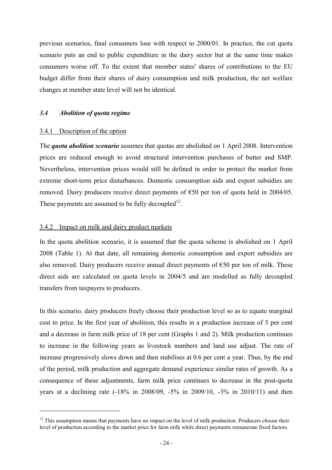previous scenarios, final consumers lose with respect to 2000/01. In practice, the cut quota scenario puts an end to public expenditure in the dairy sector but at the same time makes consumers worse off. To the extent that member states' shares of contributions to the EU budget differ from their shares of dairy consumption and milk production, the net welfare changes at member state level will not be identical.

## *3.4 Abolition of quota regime*

## 3.4.1 Description of the option

l

The *quota abolition scenario* assumes that quotas are abolished on 1 April 2008. Intervention prices are reduced enough to avoid structural intervention purchases of butter and SMP. Nevertheless, intervention prices would still be defined in order to protect the market from extreme short-term price disturbances. Domestic consumption aids and export subsidies are removed. Dairy producers receive direct payments of €50 per ton of quota held in 2004/05. These payments are assumed to be fully decoupled<sup>12</sup>.

## 3.4.2 Impact on milk and dairy product markets

In the quota abolition scenario, it is assumed that the quota scheme is abolished on 1 April 2008 (Table 1). At that date, all remaining domestic consumption and export subsidies are also removed. Dairy producers receive annual direct payments of  $\epsilon$ 50 per ton of milk. These direct aids are calculated on quota levels in 2004/5 and are modelled as fully decoupled transfers from taxpayers to producers.

In this scenario, dairy producers freely choose their production level so as to equate marginal cost to price. In the first year of abolition, this results in a production increase of 5 per cent and a decrease in farm milk price of 18 per cent (Graphs 1 and 2). Milk production continues to increase in the following years as livestock numbers and land use adjust. The rate of increase progressively slows down and then stabilises at 0.6 per cent a year. Thus, by the end of the period, milk production and aggregate demand experience similar rates of growth. As a consequence of these adjustments, farm milk price continues to decrease in the post-quota years at a declining rate (-18% in 2008/09, -5% in 2009/10, -3% in 2010/11) and then

<sup>&</sup>lt;sup>12</sup> This assumption means that payments have no impact on the level of milk production. Producers choose their level of production according to the market price for farm milk while direct payments remunerate fixed factors.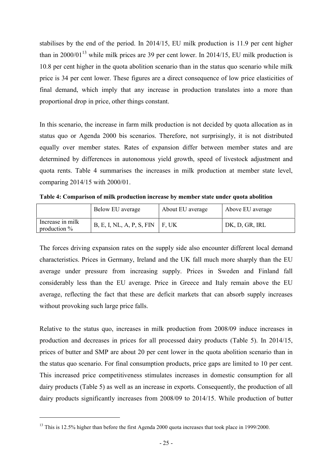stabilises by the end of the period. In 2014/15, EU milk production is 11.9 per cent higher than in 2000/01<sup>13</sup> while milk prices are 39 per cent lower. In 2014/15, EU milk production is 10.8 per cent higher in the quota abolition scenario than in the status quo scenario while milk price is 34 per cent lower. These figures are a direct consequence of low price elasticities of final demand, which imply that any increase in production translates into a more than proportional drop in price, other things constant.

In this scenario, the increase in farm milk production is not decided by quota allocation as in status quo or Agenda 2000 bis scenarios. Therefore, not surprisingly, it is not distributed equally over member states. Rates of expansion differ between member states and are determined by differences in autonomous yield growth, speed of livestock adjustment and quota rents. Table 4 summarises the increases in milk production at member state level, comparing 2014/15 with 2000/01.

**Table 4: Comparison of milk production increase by member state under quota abolition**

|                                    | Below EU average                    | About EU average | Above EU average |
|------------------------------------|-------------------------------------|------------------|------------------|
| Increase in milk<br>production $%$ | $B, E, I, NL, A, P, S, FIN$   F, UK |                  | DK, D, GR, IRL   |

The forces driving expansion rates on the supply side also encounter different local demand characteristics. Prices in Germany, Ireland and the UK fall much more sharply than the EU average under pressure from increasing supply. Prices in Sweden and Finland fall considerably less than the EU average. Price in Greece and Italy remain above the EU average, reflecting the fact that these are deficit markets that can absorb supply increases without provoking such large price falls.

Relative to the status quo, increases in milk production from 2008/09 induce increases in production and decreases in prices for all processed dairy products (Table 5). In 2014/15, prices of butter and SMP are about 20 per cent lower in the quota abolition scenario than in the status quo scenario. For final consumption products, price gaps are limited to 10 per cent. This increased price competitiveness stimulates increases in domestic consumption for all dairy products (Table 5) as well as an increase in exports. Consequently, the production of all dairy products significantly increases from 2008/09 to 2014/15. While production of butter

l

<sup>&</sup>lt;sup>13</sup> This is 12.5% higher than before the first Agenda 2000 quota increases that took place in 1999/2000.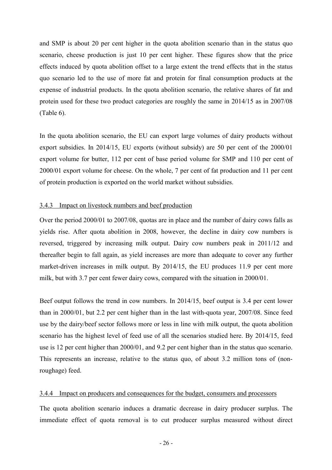and SMP is about 20 per cent higher in the quota abolition scenario than in the status quo scenario, cheese production is just 10 per cent higher. These figures show that the price effects induced by quota abolition offset to a large extent the trend effects that in the status quo scenario led to the use of more fat and protein for final consumption products at the expense of industrial products. In the quota abolition scenario, the relative shares of fat and protein used for these two product categories are roughly the same in 2014/15 as in 2007/08 (Table 6).

In the quota abolition scenario, the EU can export large volumes of dairy products without export subsidies. In 2014/15, EU exports (without subsidy) are 50 per cent of the 2000/01 export volume for butter, 112 per cent of base period volume for SMP and 110 per cent of 2000/01 export volume for cheese. On the whole, 7 per cent of fat production and 11 per cent of protein production is exported on the world market without subsidies.

## 3.4.3 Impact on livestock numbers and beef production

Over the period 2000/01 to 2007/08, quotas are in place and the number of dairy cows falls as yields rise. After quota abolition in 2008, however, the decline in dairy cow numbers is reversed, triggered by increasing milk output. Dairy cow numbers peak in 2011/12 and thereafter begin to fall again, as yield increases are more than adequate to cover any further market-driven increases in milk output. By 2014/15, the EU produces 11.9 per cent more milk, but with 3.7 per cent fewer dairy cows, compared with the situation in 2000/01.

Beef output follows the trend in cow numbers. In 2014/15, beef output is 3.4 per cent lower than in 2000/01, but 2.2 per cent higher than in the last with-quota year, 2007/08. Since feed use by the dairy/beef sector follows more or less in line with milk output, the quota abolition scenario has the highest level of feed use of all the scenarios studied here. By 2014/15, feed use is 12 per cent higher than 2000/01, and 9.2 per cent higher than in the status quo scenario. This represents an increase, relative to the status quo, of about 3.2 million tons of (nonroughage) feed.

#### 3.4.4 Impact on producers and consequences for the budget, consumers and processors

The quota abolition scenario induces a dramatic decrease in dairy producer surplus. The immediate effect of quota removal is to cut producer surplus measured without direct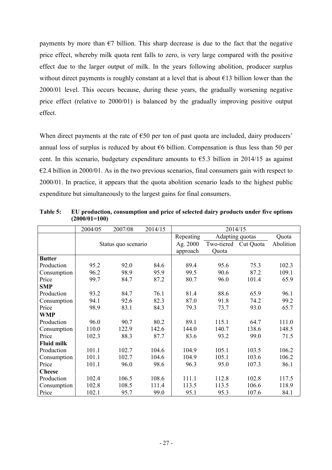payments by more than  $\epsilon$ 7 billion. This sharp decrease is due to the fact that the negative price effect, whereby milk quota rent falls to zero, is very large compared with the positive effect due to the larger output of milk. In the years following abolition, producer surplus without direct payments is roughly constant at a level that is about  $\epsilon$ 13 billion lower than the 2000/01 level. This occurs because, during these years, the gradually worsening negative price effect (relative to 2000/01) is balanced by the gradually improving positive output effect.

When direct payments at the rate of  $\epsilon$ 50 per ton of past quota are included, dairy producers' annual loss of surplus is reduced by about  $66$  billion. Compensation is thus less than 50 per cent. In this scenario, budgetary expenditure amounts to  $\epsilon$ 5.3 billion in 2014/15 as against  $\epsilon$ 2.4 billion in 2000/01. As in the two previous scenarios, final consumers gain with respect to 2000/01. In practice, it appears that the quota abolition scenario leads to the highest public expenditure but simultaneously to the largest gains for final consumers.

|                   | 2004/05 | 2007/08             | 2014/15 | 2014/15   |                      |       |           |  |
|-------------------|---------|---------------------|---------|-----------|----------------------|-------|-----------|--|
|                   |         |                     |         | Repeating | Adapting quotas      |       | Quota     |  |
|                   |         | Status quo scenario |         | Ag. 2000  | Two-tiered Cut Quota |       | Abolition |  |
|                   |         |                     |         | approach  | Quota                |       |           |  |
| <b>Butter</b>     |         |                     |         |           |                      |       |           |  |
| Production        | 95.2    | 92.0                | 84.6    | 89.4      | 95.6                 | 75.3  | 102.3     |  |
| Consumption       | 96.2    | 98.9                | 95.9    | 99.5      | 90.6                 | 87.2  | 109.1     |  |
| Price             | 99.7    | 84.7                | 87.2    | 80.7      | 96.0                 | 101.4 | 65.9      |  |
| <b>SMP</b>        |         |                     |         |           |                      |       |           |  |
| Production        | 93.2    | 84.7                | 76.1    | 81.4      | 88.6                 | 65.9  | 96.1      |  |
| Consumption       | 94.1    | 92.6                | 82.3    | 87.0      | 91.8                 | 74.2  | 99.2      |  |
| Price             | 98.9    | 83.1                | 84.3    | 79.3      | 73.7                 | 93.0  | 65.7      |  |
| <b>WMP</b>        |         |                     |         |           |                      |       |           |  |
| Production        | 96.0    | 90.7                | 80.2    | 89.1      | 115.1                | 64.7  | 111.0     |  |
| Consumption       | 110.0   | 122.9               | 142.6   | 144.0     | 140.7                | 138.6 | 148.5     |  |
| Price             | 102.3   | 88.3                | 87.7    | 83.6      | 93.2                 | 99.0  | 71.5      |  |
| <b>Fluid milk</b> |         |                     |         |           |                      |       |           |  |
| Production        | 101.1   | 102.7               | 104.6   | 104.9     | 105.1                | 103.5 | 106.2     |  |
| Consumption       | 101.1   | 102.7               | 104.6   | 104.9     | 105.1                | 103.6 | 106.2     |  |
| Price             | 101.1   | 96.0                | 98.6    | 96.3      | 95.0                 | 107.3 | 86.1      |  |
| <b>Cheese</b>     |         |                     |         |           |                      |       |           |  |
| Production        | 102.4   | 106.5               | 108.6   | 111.1     | 112.8                | 102.8 | 117.5     |  |
| Consumption       | 102.8   | 108.5               | 111.4   | 113.5     | 113.5                | 106.6 | 118.9     |  |
| Price             | 102.1   | 95.7                | 99.0    | 95.1      | 95.3                 | 107.6 | 84.1      |  |

**Table 5: EU production, consumption and price of selected dairy products under five options (2000/01=100)**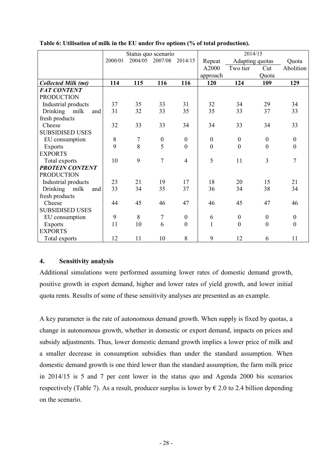|                            |         | Status quo scenario |                  |                  | 2014/15          |                  |                  |                  |
|----------------------------|---------|---------------------|------------------|------------------|------------------|------------------|------------------|------------------|
|                            | 2000/01 | 2004/05             | 2007/08          | 2014/15          | Repeat           | Adapting quotas  |                  | Quota            |
|                            |         |                     |                  |                  | A2000            | Two tier         | Cut              | Abolition        |
|                            |         |                     |                  |                  | approach         |                  | Quota            |                  |
| <b>Collected Milk (mt)</b> | 114     | 115                 | 116              | 116              | 120              | 124              | 109              | 129              |
| <b>FAT CONTENT</b>         |         |                     |                  |                  |                  |                  |                  |                  |
| <b>PRODUCTION</b>          |         |                     |                  |                  |                  |                  |                  |                  |
| Industrial products        | 37      | 35                  | 33               | 31               | 32               | 34               | 29               | 34               |
| Drinking<br>milk<br>and    | 31      | 32                  | 33               | 35               | 35               | 33               | 37               | 33               |
| fresh products             |         |                     |                  |                  |                  |                  |                  |                  |
| Cheese                     | 32      | 33                  | 33               | 34               | 34               | 33               | 34               | 33               |
| <b>SUBSIDISED USES</b>     |         |                     |                  |                  |                  |                  |                  |                  |
| EU consumption             | 8       | 7                   | $\boldsymbol{0}$ | $\boldsymbol{0}$ | $\boldsymbol{0}$ | $\boldsymbol{0}$ | $\boldsymbol{0}$ | $\boldsymbol{0}$ |
| <b>Exports</b>             | 9       | 8                   | 5                | $\mathbf{0}$     | $\mathbf{0}$     | $\mathbf{0}$     | $\boldsymbol{0}$ | $\boldsymbol{0}$ |
| <b>EXPORTS</b>             |         |                     |                  |                  |                  |                  |                  |                  |
| Total exports              | 10      | 9                   | $\overline{7}$   | $\overline{4}$   | 5                | 11               | $\overline{3}$   | $\overline{7}$   |
| <b>PROTEIN CONTENT</b>     |         |                     |                  |                  |                  |                  |                  |                  |
| <b>PRODUCTION</b>          |         |                     |                  |                  |                  |                  |                  |                  |
| Industrial products        | 23      | 21                  | 19               | 17               | 18               | 20               | 15               | 21               |
| Drinking<br>milk<br>and    | 33      | 34                  | 35               | 37               | 36               | 34               | 38               | 34               |
| fresh products             |         |                     |                  |                  |                  |                  |                  |                  |
| Cheese                     | 44      | 45                  | 46               | 47               | 46               | 45               | 47               | 46               |
| <b>SUBSIDISED USES</b>     |         |                     |                  |                  |                  |                  |                  |                  |
| EU consumption             | 9       | 8                   | $\overline{7}$   | $\boldsymbol{0}$ | 6                | $\boldsymbol{0}$ | $\boldsymbol{0}$ | $\boldsymbol{0}$ |
| <b>Exports</b>             | 11      | 10                  | 6                | $\mathbf{0}$     | 1                | $\boldsymbol{0}$ | $\mathbf{0}$     | $\mathbf{0}$     |
| <b>EXPORTS</b>             |         |                     |                  |                  |                  |                  |                  |                  |
| Total exports              | 12      | 11                  | 10               | 8                | 9                | 12               | 6                | 11               |

**Table 6: Utilisation of milk in the EU under five options (% of total production).**

## **4. Sensitivity analysis**

Additional simulations were performed assuming lower rates of domestic demand growth, positive growth in export demand, higher and lower rates of yield growth, and lower initial quota rents. Results of some of these sensitivity analyses are presented as an example.

A key parameter is the rate of autonomous demand growth. When supply is fixed by quotas, a change in autonomous growth, whether in domestic or export demand, impacts on prices and subsidy adjustments. Thus, lower domestic demand growth implies a lower price of milk and a smaller decrease in consumption subsidies than under the standard assumption. When domestic demand growth is one third lower than the standard assumption, the farm milk price in 2014/15 is 5 and 7 per cent lower in the status quo and Agenda 2000 bis scenarios respectively (Table 7). As a result, producer surplus is lower by  $\epsilon$  2.0 to 2.4 billion depending on the scenario.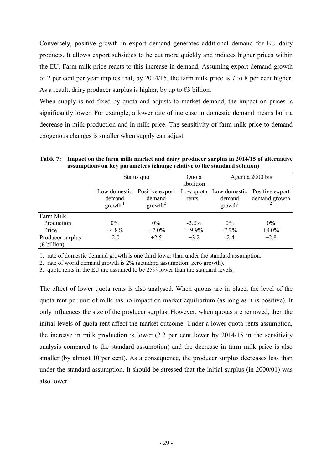Conversely, positive growth in export demand generates additional demand for EU dairy products. It allows export subsidies to be cut more quickly and induces higher prices within the EU. Farm milk price reacts to this increase in demand. Assuming export demand growth of 2 per cent per year implies that, by 2014/15, the farm milk price is 7 to 8 per cent higher. As a result, dairy producer surplus is higher, by up to  $\epsilon$ 3 billion.

When supply is not fixed by quota and adjusts to market demand, the impact on prices is significantly lower. For example, a lower rate of increase in domestic demand means both a decrease in milk production and in milk price. The sensitivity of farm milk price to demand exogenous changes is smaller when supply can adjust.

|                                   | Status quo                                          |                     | Quota<br>abolition               | Agenda 2000 bis        |                                  |  |  |  |
|-----------------------------------|-----------------------------------------------------|---------------------|----------------------------------|------------------------|----------------------------------|--|--|--|
|                                   | Positive export<br>Low domestic<br>demand<br>demand |                     | Low quota<br>rents $\frac{3}{2}$ | Low domestic<br>demand | Positive export<br>demand growth |  |  |  |
|                                   | growth                                              | growth <sup>2</sup> |                                  | growth <sup>1</sup>    |                                  |  |  |  |
| Farm Milk                         |                                                     |                     |                                  |                        |                                  |  |  |  |
| Production                        | $0\%$                                               | $0\%$               | $-2.2\%$                         | $0\%$                  | $0\%$                            |  |  |  |
| Price                             | $-4.8%$                                             | $+7.0%$             | $+9.9%$                          | $-7.2%$                | $+8.0\%$                         |  |  |  |
| Producer surplus<br>$(E$ billion) | $-2.0$                                              | $+2.5$              | $+3.2$                           | $-2.4$                 | $+2.8$                           |  |  |  |

**Table 7: Impact on the farm milk market and dairy producer surplus in 2014/15 of alternative assumptions on key parameters (change relative to the standard solution)**

1. rate of domestic demand growth is one third lower than under the standard assumption.

2. rate of world demand growth is 2% (standard assumption: zero growth).

3. quota rents in the EU are assumed to be 25% lower than the standard levels.

The effect of lower quota rents is also analysed. When quotas are in place, the level of the quota rent per unit of milk has no impact on market equilibrium (as long as it is positive). It only influences the size of the producer surplus. However, when quotas are removed, then the initial levels of quota rent affect the market outcome. Under a lower quota rents assumption, the increase in milk production is lower (2.2 per cent lower by 2014/15 in the sensitivity analysis compared to the standard assumption) and the decrease in farm milk price is also smaller (by almost 10 per cent). As a consequence, the producer surplus decreases less than under the standard assumption. It should be stressed that the initial surplus (in 2000/01) was also lower.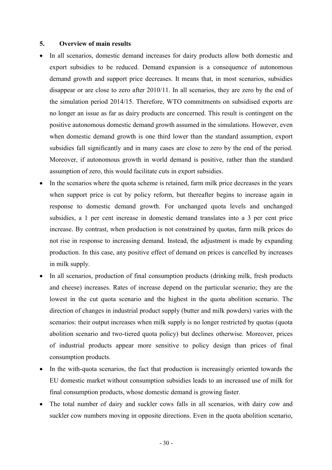#### **5. Overview of main results**

- In all scenarios, domestic demand increases for dairy products allow both domestic and export subsidies to be reduced. Demand expansion is a consequence of autonomous demand growth and support price decreases. It means that, in most scenarios, subsidies disappear or are close to zero after 2010/11. In all scenarios, they are zero by the end of the simulation period 2014/15. Therefore, WTO commitments on subsidised exports are no longer an issue as far as dairy products are concerned. This result is contingent on the positive autonomous domestic demand growth assumed in the simulations. However, even when domestic demand growth is one third lower than the standard assumption, export subsidies fall significantly and in many cases are close to zero by the end of the period. Moreover, if autonomous growth in world demand is positive, rather than the standard assumption of zero, this would facilitate cuts in export subsidies.
- In the scenarios where the quota scheme is retained, farm milk price decreases in the years when support price is cut by policy reform, but thereafter begins to increase again in response to domestic demand growth. For unchanged quota levels and unchanged subsidies, a 1 per cent increase in domestic demand translates into a 3 per cent price increase. By contrast, when production is not constrained by quotas, farm milk prices do not rise in response to increasing demand. Instead, the adjustment is made by expanding production. In this case, any positive effect of demand on prices is cancelled by increases in milk supply.
- In all scenarios, production of final consumption products (drinking milk, fresh products and cheese) increases. Rates of increase depend on the particular scenario; they are the lowest in the cut quota scenario and the highest in the quota abolition scenario. The direction of changes in industrial product supply (butter and milk powders) varies with the scenarios: their output increases when milk supply is no longer restricted by quotas (quota abolition scenario and two-tiered quota policy) but declines otherwise. Moreover, prices of industrial products appear more sensitive to policy design than prices of final consumption products.
- In the with-quota scenarios, the fact that production is increasingly oriented towards the EU domestic market without consumption subsidies leads to an increased use of milk for final consumption products, whose domestic demand is growing faster.
- The total number of dairy and suckler cows falls in all scenarios, with dairy cow and suckler cow numbers moving in opposite directions. Even in the quota abolition scenario,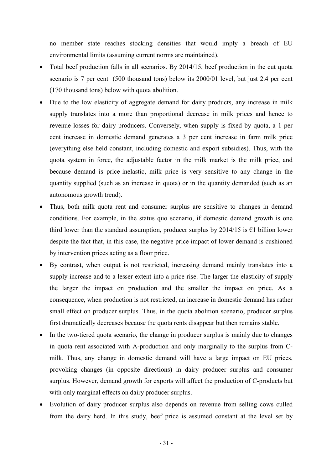no member state reaches stocking densities that would imply a breach of EU environmental limits (assuming current norms are maintained).

- Total beef production falls in all scenarios. By 2014/15, beef production in the cut quota scenario is 7 per cent (500 thousand tons) below its 2000/01 level, but just 2.4 per cent (170 thousand tons) below with quota abolition.
- Due to the low elasticity of aggregate demand for dairy products, any increase in milk supply translates into a more than proportional decrease in milk prices and hence to revenue losses for dairy producers. Conversely, when supply is fixed by quota, a 1 per cent increase in domestic demand generates a 3 per cent increase in farm milk price (everything else held constant, including domestic and export subsidies). Thus, with the quota system in force, the adjustable factor in the milk market is the milk price, and because demand is price-inelastic, milk price is very sensitive to any change in the quantity supplied (such as an increase in quota) or in the quantity demanded (such as an autonomous growth trend).
- Thus, both milk quota rent and consumer surplus are sensitive to changes in demand conditions. For example, in the status quo scenario, if domestic demand growth is one third lower than the standard assumption, producer surplus by  $2014/15$  is  $\epsilon$ 1 billion lower despite the fact that, in this case, the negative price impact of lower demand is cushioned by intervention prices acting as a floor price.
- By contrast, when output is not restricted, increasing demand mainly translates into a supply increase and to a lesser extent into a price rise. The larger the elasticity of supply the larger the impact on production and the smaller the impact on price. As a consequence, when production is not restricted, an increase in domestic demand has rather small effect on producer surplus. Thus, in the quota abolition scenario, producer surplus first dramatically decreases because the quota rents disappear but then remains stable.
- In the two-tiered quota scenario, the change in producer surplus is mainly due to changes in quota rent associated with A-production and only marginally to the surplus from Cmilk. Thus, any change in domestic demand will have a large impact on EU prices, provoking changes (in opposite directions) in dairy producer surplus and consumer surplus. However, demand growth for exports will affect the production of C-products but with only marginal effects on dairy producer surplus.
- Evolution of dairy producer surplus also depends on revenue from selling cows culled from the dairy herd. In this study, beef price is assumed constant at the level set by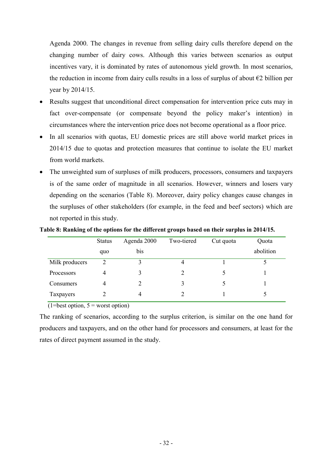Agenda 2000. The changes in revenue from selling dairy culls therefore depend on the changing number of dairy cows. Although this varies between scenarios as output incentives vary, it is dominated by rates of autonomous yield growth. In most scenarios, the reduction in income from dairy culls results in a loss of surplus of about  $\epsilon$ 2 billion per year by 2014/15.

- Results suggest that unconditional direct compensation for intervention price cuts may in fact over-compensate (or compensate beyond the policy maker's intention) in circumstances where the intervention price does not become operational as a floor price.
- In all scenarios with quotas, EU domestic prices are still above world market prices in 2014/15 due to quotas and protection measures that continue to isolate the EU market from world markets.
- The unweighted sum of surpluses of milk producers, processors, consumers and taxpayers is of the same order of magnitude in all scenarios. However, winners and losers vary depending on the scenarios (Table 8). Moreover, dairy policy changes cause changes in the surpluses of other stakeholders (for example, in the feed and beef sectors) which are not reported in this study.

|                | <b>Status</b>  | Agenda 2000 | Two-tiered | Cut quota | Quota     |
|----------------|----------------|-------------|------------|-----------|-----------|
|                | quo            | bis         |            |           | abolition |
| Milk producers | $\overline{2}$ |             | 4          |           |           |
| Processors     | 4              |             |            |           |           |
| Consumers      | $\overline{4}$ |             |            |           |           |
| Taxpayers      |                | 4           |            |           |           |

**Table 8: Ranking of the options for the different groups based on their surplus in 2014/15.**

 $(1=best option, 5 = worst option)$ 

The ranking of scenarios, according to the surplus criterion, is similar on the one hand for producers and taxpayers, and on the other hand for processors and consumers, at least for the rates of direct payment assumed in the study.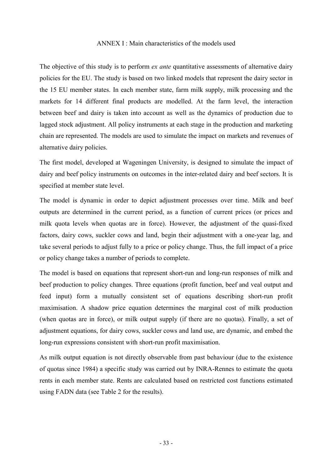#### ANNEX I : Main characteristics of the models used

The objective of this study is to perform *ex ante* quantitative assessments of alternative dairy policies for the EU. The study is based on two linked models that represent the dairy sector in the 15 EU member states. In each member state, farm milk supply, milk processing and the markets for 14 different final products are modelled. At the farm level, the interaction between beef and dairy is taken into account as well as the dynamics of production due to lagged stock adjustment. All policy instruments at each stage in the production and marketing chain are represented. The models are used to simulate the impact on markets and revenues of alternative dairy policies.

The first model, developed at Wageningen University, is designed to simulate the impact of dairy and beef policy instruments on outcomes in the inter-related dairy and beef sectors. It is specified at member state level.

The model is dynamic in order to depict adjustment processes over time. Milk and beef outputs are determined in the current period, as a function of current prices (or prices and milk quota levels when quotas are in force). However, the adjustment of the quasi-fixed factors, dairy cows, suckler cows and land, begin their adjustment with a one-year lag, and take several periods to adjust fully to a price or policy change. Thus, the full impact of a price or policy change takes a number of periods to complete.

The model is based on equations that represent short-run and long-run responses of milk and beef production to policy changes. Three equations (profit function, beef and veal output and feed input) form a mutually consistent set of equations describing short-run profit maximisation. A shadow price equation determines the marginal cost of milk production (when quotas are in force), or milk output supply (if there are no quotas). Finally, a set of adjustment equations, for dairy cows, suckler cows and land use, are dynamic, and embed the long-run expressions consistent with short-run profit maximisation.

As milk output equation is not directly observable from past behaviour (due to the existence of quotas since 1984) a specific study was carried out by INRA-Rennes to estimate the quota rents in each member state. Rents are calculated based on restricted cost functions estimated using FADN data (see Table 2 for the results).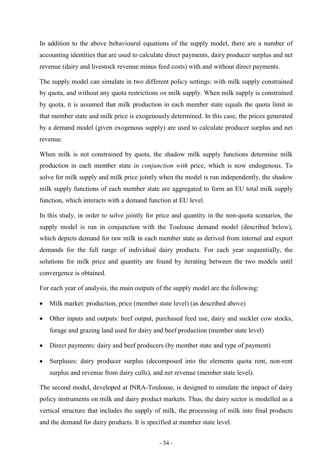In addition to the above behavioural equations of the supply model, there are a number of accounting identities that are used to calculate direct payments, dairy producer surplus and net revenue (dairy and livestock revenue minus feed costs) with and without direct payments.

The supply model can simulate in two different policy settings: with milk supply constrained by quota, and without any quota restrictions *on* milk supply. When milk supply is constrained by quota, it is assumed that milk production in each member state equals the quota limit in that member state and milk price is exogenously determined. In this case, the prices generated by a demand model (given exogenous supply) are used to calculate producer surplus and net revenue.

When milk is not constrained by quota, the shadow milk supply functions determine milk production in each member state *in conjunction with* price, which is now endogenous. To solve for milk supply and milk price jointly when the model is run independently, the shadow milk supply functions of each member state are aggregated to form an EU total milk supply function, which interacts with a demand function at EU level.

In this study, in order to solve jointly for price and quantity in the non-quota scenarios, the supply model is run in conjunction with the Toulouse demand model (described below), which depicts demand for raw milk in each member state as derived from internal and export demands for the full range of individual dairy products. For each year sequentially, the solutions for milk price and quantity are found by iterating between the two models until convergence is obtained.

For each year of analysis, the main outputs of the supply model are the following:

- Milk market: production, price (member state level) (as described above)
- Other inputs and outputs: beef output, purchased feed use, dairy and suckler cow stocks, forage and grazing land used for dairy and beef production (member state level)
- Direct payments: dairy and beef producers (by member state and type of payment)
- Surpluses: dairy producer surplus (decomposed into the elements quota rent, non-rent surplus and revenue from dairy culls), and net revenue (member state level).

The second model, developed at INRA-Toulouse, is designed to simulate the impact of dairy policy instruments on milk and dairy product markets. Thus, the dairy sector is modelled as a vertical structure that includes the supply of milk, the processing of milk into final products and the demand for dairy products. It is specified at member state level.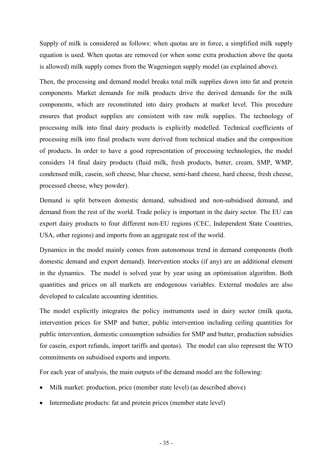Supply of milk is considered as follows: when quotas are in force, a simplified milk supply equation is used. When quotas are removed (or when some extra production above the quota is allowed) milk supply comes from the Wageningen supply model (as explained above).

Then, the processing and demand model breaks total milk supplies down into fat and protein components. Market demands for milk products drive the derived demands for the milk components, which are reconstituted into dairy products at market level. This procedure ensures that product supplies are consistent with raw milk supplies. The technology of processing milk into final dairy products is explicitly modelled. Technical coefficients of processing milk into final products were derived from technical studies and the composition of products. In order to have a good representation of processing technologies, the model considers 14 final dairy products (fluid milk, fresh products, butter, cream, SMP, WMP, condensed milk, casein, soft cheese, blue cheese, semi-hard cheese, hard cheese, fresh cheese, processed cheese, whey powder).

Demand is split between domestic demand, subsidised and non-subsidised demand, and demand from the rest of the world. Trade policy is important in the dairy sector. The EU can export dairy products to four different non-EU regions (CEC, Independent State Countries, USA, other regions) and imports from an aggregate rest of the world.

Dynamics in the model mainly comes from autonomous trend in demand components (both domestic demand and export demand). Intervention stocks (if any) are an additional element in the dynamics. The model is solved year by year using an optimisation algorithm. Both quantities and prices on all markets are endogenous variables. External modules are also developed to calculate accounting identities.

The model explicitly integrates the policy instruments used in dairy sector (milk quota, intervention prices for SMP and butter, public intervention including ceiling quantities for public intervention, domestic consumption subsidies for SMP and butter, production subsidies for casein, export refunds, import tariffs and quotas). The model can also represent the WTO commitments on subsidised exports and imports.

For each year of analysis, the main outputs of the demand model are the following:

- Milk market: production, price (member state level) (as described above)
- Intermediate products: fat and protein prices (member state level)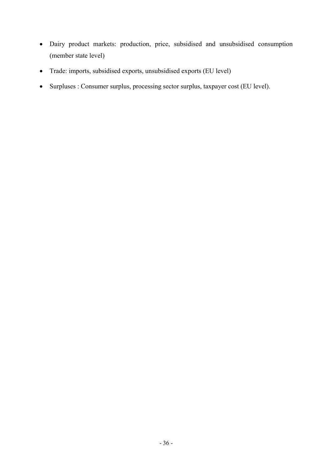- Dairy product markets: production, price, subsidised and unsubsidised consumption (member state level)
- Trade: imports, subsidised exports, unsubsidised exports (EU level)
- Surpluses : Consumer surplus, processing sector surplus, taxpayer cost (EU level).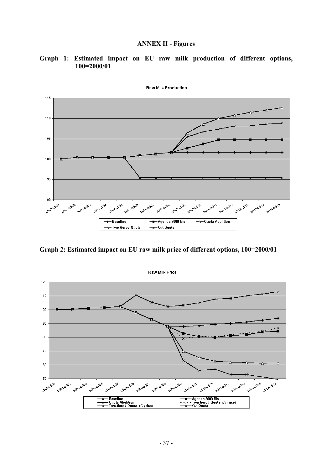#### **ANNEX II - Figures**

#### **Graph 1: Estimated impact on EU raw milk production of different options, 100=2000/01**



Raw Milk Production

**Graph 2: Estimated impact on EU raw milk price of different options, 100=2000/01**

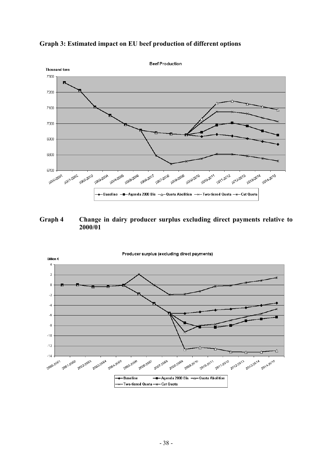